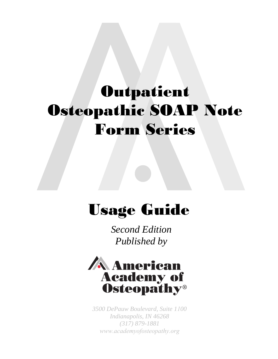# **Outpatient** Osteopathic SOAP Note Form Series

# Usage Guide

*Second Edition Published by* 



*3500 DePauw Boulevard, Suite 1100 Indianapolis, IN 46268 (317) 879-1881 www.academyofosteopathy.org*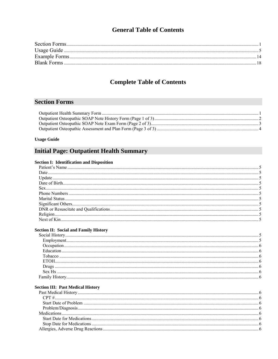## **General Table of Contents**

# **Complete Table of Contents**

## **Section Forms**

#### **Usage Guide**

# **Initial Page: Outpatient Health Summary**

#### **Section I: Identification and Disposition**

#### **Section II: Social and Family History**

#### **Section III: Past Medical History**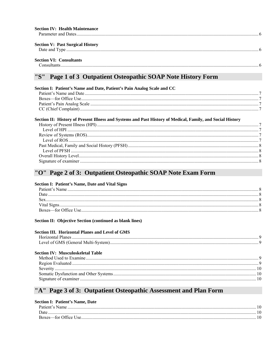| <b>Section IV: Health Maintenance</b>   |  |
|-----------------------------------------|--|
| <b>Section V: Past Surgical History</b> |  |
| <b>Section VI: Consultants</b>          |  |

#### Page 1 of 3 Outpatient Osteopathic SOAP Note History Form "S"

| Section I: Patient's Name and Date, Patient's Pain Analog Scale and CC                                     |  |
|------------------------------------------------------------------------------------------------------------|--|
|                                                                                                            |  |
|                                                                                                            |  |
|                                                                                                            |  |
|                                                                                                            |  |
| Section II: History of Present Illness and Systems and Past History of Medical, Family, and Social History |  |
|                                                                                                            |  |
|                                                                                                            |  |
|                                                                                                            |  |
|                                                                                                            |  |
|                                                                                                            |  |
|                                                                                                            |  |
|                                                                                                            |  |
|                                                                                                            |  |
|                                                                                                            |  |

## "O" Page 2 of 3: Outpatient Osteopathic SOAP Note Exam Form

#### **Section I: Patient's Name, Date and Vital Signs**

| Date. |  |
|-------|--|
|       |  |
|       |  |
|       |  |
|       |  |

#### Section II: Objective Section (continued as blank lines)

| <b>Section III. Horizontal Planes and Level of GMS</b> |  |
|--------------------------------------------------------|--|
|                                                        |  |
| <b>Section IV: Musculoskeletal Table</b>               |  |
|                                                        |  |
|                                                        |  |
|                                                        |  |
|                                                        |  |
|                                                        |  |

## "A" Page 3 of 3: Outpatient Osteopathic Assessment and Plan Form

#### **Section I: Patient's Name, Date**

| Patient's Name |  |
|----------------|--|
| Date           |  |
|                |  |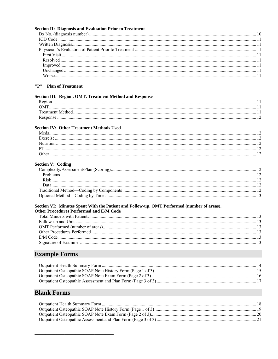| <b>Section II: Diagnosis and Evaluation Prior to Treatment</b>                             |  |
|--------------------------------------------------------------------------------------------|--|
|                                                                                            |  |
|                                                                                            |  |
|                                                                                            |  |
|                                                                                            |  |
|                                                                                            |  |
|                                                                                            |  |
|                                                                                            |  |
|                                                                                            |  |
|                                                                                            |  |
| "P" Plan of Treatment                                                                      |  |
| Section III: Region, OMT, Treatment Method and Response                                    |  |
|                                                                                            |  |
|                                                                                            |  |
|                                                                                            |  |
|                                                                                            |  |
| <b>Section IV: Other Treatment Methods Used</b>                                            |  |
|                                                                                            |  |
|                                                                                            |  |
|                                                                                            |  |
|                                                                                            |  |
|                                                                                            |  |
|                                                                                            |  |
| <b>Section V: Coding</b>                                                                   |  |
|                                                                                            |  |
|                                                                                            |  |
|                                                                                            |  |
|                                                                                            |  |
|                                                                                            |  |
|                                                                                            |  |
| Section VI: Minutes Spent With the Patient and Follow-up, OMT Performed (number of areas), |  |
| <b>Other Procedures Performed and E/M Code</b>                                             |  |
|                                                                                            |  |
|                                                                                            |  |
|                                                                                            |  |
|                                                                                            |  |
|                                                                                            |  |
|                                                                                            |  |
| <b>Example Forms</b>                                                                       |  |
|                                                                                            |  |
|                                                                                            |  |
|                                                                                            |  |
|                                                                                            |  |
|                                                                                            |  |
| <b>Blank Forms</b>                                                                         |  |
|                                                                                            |  |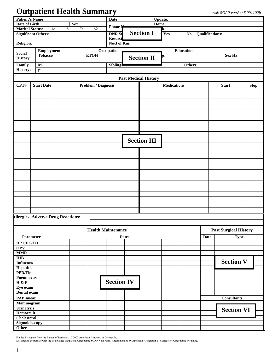# **Outpatient Health Summary** *wak SOAP version 5:091102b*

| <b>Patient's Name</b><br><b>Date of Birth</b> |                   |   | <b>Sex</b>     |                     | <b>Date</b>               |              |                             | <b>Update:</b><br>Home |                    |                        |             |                              |             |
|-----------------------------------------------|-------------------|---|----------------|---------------------|---------------------------|--------------|-----------------------------|------------------------|--------------------|------------------------|-------------|------------------------------|-------------|
| <b>Marital Status:</b>                        | ${\sf M}$         | S | $\overline{D}$ | W                   | <b>Phone N</b>            |              |                             | k                      |                    |                        |             |                              |             |
| <b>Significant Others:</b>                    |                   |   |                |                     | <b>DNR St</b>             |              | <b>Section I</b>            | Yes                    | $\mathbf{No}$      | <b>Qualifications:</b> |             |                              |             |
|                                               |                   |   |                |                     | Resusci                   |              |                             |                        |                    |                        |             |                              |             |
| <b>Religion:</b>                              |                   |   |                |                     | Next of Kin:              |              |                             |                        |                    |                        |             |                              |             |
| <b>Social</b>                                 | <b>Employment</b> |   |                |                     | Occupation                |              |                             |                        | Education          |                        |             |                              |             |
| <b>History:</b>                               | <b>Tobacco</b>    |   |                | <b>ETOH</b>         |                           |              | <b>Section II</b>           | ŗѕ                     |                    |                        |             | Sex Hx                       |             |
| Family                                        | $\mathbf M$       |   |                |                     | <b>Siblings</b>           |              |                             |                        | Others:            |                        |             |                              |             |
| <b>History:</b>                               | $\mathbf F$       |   |                |                     |                           |              |                             |                        |                    |                        |             |                              |             |
|                                               |                   |   |                |                     |                           |              |                             |                        |                    |                        |             |                              |             |
|                                               |                   |   |                |                     |                           |              | <b>Past Medical History</b> |                        |                    |                        |             |                              |             |
| CPT#                                          | <b>Start Date</b> |   |                | Problem / Diagnosis |                           |              |                             |                        | <b>Medications</b> |                        |             | <b>Start</b>                 | <b>Stop</b> |
|                                               |                   |   |                |                     |                           |              |                             |                        |                    |                        |             |                              |             |
|                                               |                   |   |                |                     |                           |              |                             |                        |                    |                        |             |                              |             |
|                                               |                   |   |                |                     |                           |              |                             |                        |                    |                        |             |                              |             |
|                                               |                   |   |                |                     |                           |              |                             |                        |                    |                        |             |                              |             |
|                                               |                   |   |                |                     |                           |              |                             |                        |                    |                        |             |                              |             |
|                                               |                   |   |                |                     |                           |              |                             |                        |                    |                        |             |                              |             |
|                                               |                   |   |                |                     |                           |              |                             |                        |                    |                        |             |                              |             |
|                                               |                   |   |                |                     |                           |              |                             |                        |                    |                        |             |                              |             |
|                                               |                   |   |                |                     |                           |              | <b>Section III</b>          |                        |                    |                        |             |                              |             |
|                                               |                   |   |                |                     |                           |              |                             |                        |                    |                        |             |                              |             |
|                                               |                   |   |                |                     |                           |              |                             |                        |                    |                        |             |                              |             |
|                                               |                   |   |                |                     |                           |              |                             |                        |                    |                        |             |                              |             |
|                                               |                   |   |                |                     |                           |              |                             |                        |                    |                        |             |                              |             |
|                                               |                   |   |                |                     |                           |              |                             |                        |                    |                        |             |                              |             |
|                                               |                   |   |                |                     |                           |              |                             |                        |                    |                        |             |                              |             |
|                                               |                   |   |                |                     |                           |              |                             |                        |                    |                        |             |                              |             |
|                                               |                   |   |                |                     |                           |              |                             |                        |                    |                        |             |                              |             |
|                                               |                   |   |                |                     |                           |              |                             |                        |                    |                        |             |                              |             |
|                                               |                   |   |                |                     |                           |              |                             |                        |                    |                        |             |                              |             |
|                                               |                   |   |                |                     |                           |              |                             |                        |                    |                        |             |                              |             |
|                                               |                   |   |                |                     |                           |              |                             |                        |                    |                        |             |                              |             |
| <b>Illergies, Adverse Drug Reactions:</b>     |                   |   |                |                     |                           |              |                             |                        |                    |                        |             |                              |             |
|                                               |                   |   |                |                     |                           |              |                             |                        |                    |                        |             |                              |             |
|                                               |                   |   |                |                     | <b>Health Maintenance</b> |              |                             |                        |                    |                        |             | <b>Past Surgical History</b> |             |
| Parameter                                     |                   |   |                |                     |                           | <b>Dates</b> |                             |                        |                    |                        | <b>Date</b> | <b>Type</b>                  |             |
| DPT/DT/TD                                     |                   |   |                |                     |                           |              |                             |                        |                    |                        |             |                              |             |
| <b>OPV</b>                                    |                   |   |                |                     |                           |              |                             |                        |                    |                        |             |                              |             |
| <b>MMR</b><br>HIB                             |                   |   |                |                     |                           |              |                             |                        |                    |                        |             |                              |             |
| <b>Influenza</b>                              |                   |   |                |                     |                           |              |                             |                        |                    |                        |             | <b>Section V</b>             |             |
| <b>Hepatitis</b>                              |                   |   |                |                     |                           |              |                             |                        |                    |                        |             |                              |             |
| <b>PPD/Tine</b>                               |                   |   |                |                     |                           |              |                             |                        |                    |                        |             |                              |             |
| <b>Pneumovax</b><br>H & P                     |                   |   |                |                     | <b>Section IV</b>         |              |                             |                        |                    |                        |             |                              |             |
| Eye exam                                      |                   |   |                |                     |                           |              |                             |                        |                    |                        |             |                              |             |
| Dental exam                                   |                   |   |                |                     |                           |              |                             |                        |                    |                        |             |                              |             |
| <b>PAP</b> smear                              |                   |   |                |                     |                           |              |                             |                        |                    |                        |             | <b>Consultants</b>           |             |
| Mammogram                                     |                   |   |                |                     |                           |              |                             |                        |                    |                        |             |                              |             |
| <b>Urinalysis</b>                             |                   |   |                |                     |                           |              |                             |                        |                    |                        |             | <b>Section VI</b>            |             |
| <b>Hemoccult</b><br>Cholesterol               |                   |   |                |                     |                           |              |                             |                        |                    |                        |             |                              |             |
| Sigmoidoscopy                                 |                   |   |                |                     |                           |              |                             |                        |                    |                        |             |                              |             |
| Others                                        |                   |   |                |                     |                           |              |                             |                        |                    |                        |             |                              |             |

Funded by a grant from the Bureau of Research. © 2002 American Academy of Osteopathy.<br>Designed to coordinate with the Established Outpatient Osteopathic SOAP Note Form. Recommended by American Association of Colleges of Os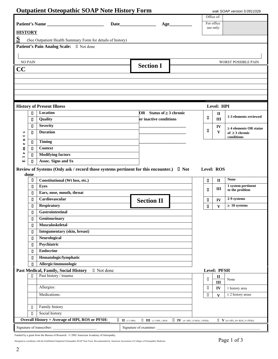|                   |                | <b>Outpatient Osteopathic SOAP Note History Form</b>                                    |                     |                               |                                                                |            |                         | wak SOAP version 5.091102b                 |
|-------------------|----------------|-----------------------------------------------------------------------------------------|---------------------|-------------------------------|----------------------------------------------------------------|------------|-------------------------|--------------------------------------------|
|                   |                |                                                                                         |                     |                               |                                                                |            | Office of:              |                                            |
|                   |                | Patient's Name                                                                          |                     |                               | Age                                                            |            | For office              |                                            |
| <b>HISTORY</b>    |                |                                                                                         |                     |                               |                                                                |            | use only:               |                                            |
| S                 |                |                                                                                         |                     |                               |                                                                |            |                         |                                            |
|                   |                | (See Outpatient Health Summary Form for details of history)                             |                     |                               |                                                                |            |                         |                                            |
|                   |                | Patient's Pain Analog Scale: I Not done                                                 |                     |                               |                                                                |            |                         |                                            |
|                   |                |                                                                                         |                     |                               |                                                                |            |                         |                                            |
|                   | <b>NO PAIN</b> |                                                                                         |                     |                               |                                                                |            |                         | <b>WORST POSSIBLE PAIN</b>                 |
| CC                |                |                                                                                         |                     | <b>Section I</b>              |                                                                |            |                         |                                            |
|                   |                |                                                                                         |                     |                               |                                                                |            |                         |                                            |
|                   |                |                                                                                         |                     |                               |                                                                |            |                         |                                            |
|                   |                |                                                                                         |                     |                               |                                                                |            |                         |                                            |
|                   |                |                                                                                         |                     |                               |                                                                |            |                         |                                            |
|                   |                |                                                                                         |                     |                               |                                                                |            |                         |                                            |
|                   |                | <b>History of Present Illness</b>                                                       |                     |                               |                                                                |            | Level: HPI              |                                            |
|                   | П              | Location                                                                                |                     | OR Status of $\geq 3$ chronic |                                                                |            | $\mathbf{I}$            | 1-3 elements reviewed                      |
|                   | О              | Quality                                                                                 |                     | or inactive conditions        |                                                                | П          | $\mathbf{III}$          |                                            |
|                   | О              | <b>Severity</b>                                                                         |                     |                               |                                                                |            | IV                      | $\geq$ 4 elements OR status                |
| s                 | П              | <b>Duration</b>                                                                         |                     |                               |                                                                | п          | $\mathbf{V}$            | of $\geq$ 3 chronic                        |
| Ξ                 | П              | <b>Timing</b>                                                                           |                     |                               |                                                                |            |                         | conditions                                 |
| $\bullet$<br>Е    | О              | <b>Context</b>                                                                          |                     |                               |                                                                |            |                         |                                            |
| $\bullet$         | О              | <b>Modifying factors</b>                                                                |                     |                               |                                                                |            |                         |                                            |
| −<br>$\mathbf{r}$ | п              | Assoc. Signs and Sx                                                                     |                     |                               |                                                                |            |                         |                                            |
|                   |                |                                                                                         |                     |                               |                                                                |            |                         |                                            |
|                   | done           | Review of Systems (Only ask / record those systems pertinent for this encounter.) I Not |                     |                               |                                                                | Level: ROS |                         |                                            |
|                   | П              | Constitutional (Wt loss, etc.)                                                          |                     |                               |                                                                | 0          | $\mathbf{I}$            | <b>None</b>                                |
|                   | П              | <b>Eyes</b>                                                                             |                     |                               |                                                                |            |                         | 1 system pertinent                         |
|                   | Д              | Ears, nose, mouth, throat                                                               |                     |                               |                                                                | 0          | Ш                       | to the problem                             |
|                   | О              | Cardiovascular                                                                          |                     | <b>Section II</b>             |                                                                | 0          | IV                      | 2-9 systems                                |
|                   | П              | <b>Respiratory</b>                                                                      |                     |                               |                                                                | 0.         | $\mathbf{V}$            | $\geq 10$ systems                          |
|                   | O              | Gastrointestinal                                                                        |                     |                               |                                                                |            |                         |                                            |
|                   | О              | Genitourinary                                                                           |                     |                               |                                                                |            |                         |                                            |
|                   | О              | Musculoskeletal                                                                         |                     |                               |                                                                |            |                         |                                            |
|                   | О              | Integumentary (skin, breast)                                                            |                     |                               |                                                                |            |                         |                                            |
|                   | П              | Neurological                                                                            |                     |                               |                                                                |            |                         |                                            |
|                   | Д              | Psychiatric                                                                             |                     |                               |                                                                |            |                         |                                            |
|                   | П              | <b>Endocrine</b>                                                                        |                     |                               |                                                                |            |                         |                                            |
|                   | п              | Hematologic/lymphatic                                                                   |                     |                               |                                                                |            |                         |                                            |
|                   | О              | Allergic/immunologic                                                                    |                     |                               |                                                                |            |                         |                                            |
|                   |                | Past Medical, Family, Social History<br>□ Not done                                      |                     |                               |                                                                |            | <b>Level: PFSH</b>      |                                            |
|                   | П              | Past history / trauma                                                                   |                     |                               |                                                                |            | $\mathbf H$             |                                            |
|                   |                |                                                                                         |                     |                               |                                                                | П          | III                     | None                                       |
|                   |                | Allergies:                                                                              |                     |                               |                                                                | $\Box$     | IV                      | 1 history area                             |
|                   |                | Medications:                                                                            |                     |                               |                                                                | П          | $\overline{\mathbf{V}}$ | $\geq$ 2 history areas                     |
|                   |                |                                                                                         |                     |                               |                                                                |            |                         |                                            |
|                   | $\Box$         | Family history                                                                          |                     |                               |                                                                |            |                         |                                            |
|                   | $\Box$         | Social history                                                                          |                     |                               |                                                                |            |                         |                                            |
|                   |                | <b>Overall History = Average of HPI, ROS or PFSH:</b>                                   | $\Box$ II (1-3 HPI) |                               | $\Box$ III (1-3 HPI, 1 ROS $\Box$ IV (4+ HPI, 2-9 ROS, 1 PFSH) |            |                         | $\Box$ <b>V</b> (4+ HPI, 10+ ROS, 2+ PFSH) |
|                   |                | Signature of transcriber:                                                               |                     | Signature of examiner:        |                                                                |            |                         |                                            |

Funded by a grant from the Bureau of Research.  $\oslash$  2002 American Academy of Osteopathy.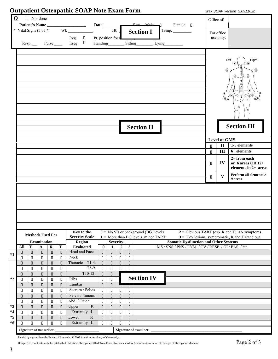|          |               |                                     |                                    |                  |                   | <b>Outpatient Osteopathic SOAP Note Exam Form</b> |                  |                        |                            |                                                  |                                                                                                       |              |                     | wak SOAP version 5:091102b                           |
|----------|---------------|-------------------------------------|------------------------------------|------------------|-------------------|---------------------------------------------------|------------------|------------------------|----------------------------|--------------------------------------------------|-------------------------------------------------------------------------------------------------------|--------------|---------------------|------------------------------------------------------|
| $\Omega$ |               | D Not done                          |                                    |                  |                   |                                                   |                  |                        |                            |                                                  |                                                                                                       |              | Office of:          |                                                      |
|          |               |                                     |                                    |                  |                   |                                                   |                  |                        |                            |                                                  | $S_{\text{ev}}$ Male<br>Female $\Box$                                                                 |              |                     |                                                      |
|          |               |                                     |                                    |                  |                   | * Vital Signs $(3 \text{ of } 7)$ Wt.             |                  |                        | Ht.                        |                                                  | <b>Section I</b><br>Temp.                                                                             |              | For office          |                                                      |
|          |               |                                     |                                    |                  |                   | Reg. $\Box$ Pt. position for r                    |                  |                        |                            |                                                  |                                                                                                       |              | use only:           |                                                      |
|          |               | Resp.                               |                                    |                  |                   | Pulse Irreg. 0                                    |                  |                        |                            |                                                  | Standing Sitting Lying                                                                                |              |                     |                                                      |
|          |               |                                     |                                    |                  |                   |                                                   |                  |                        |                            |                                                  |                                                                                                       |              |                     |                                                      |
|          |               |                                     |                                    |                  |                   |                                                   |                  |                        |                            |                                                  |                                                                                                       |              |                     |                                                      |
|          |               |                                     |                                    |                  |                   |                                                   |                  |                        |                            |                                                  |                                                                                                       |              |                     | Left<br>Right                                        |
|          |               |                                     |                                    |                  |                   |                                                   |                  |                        |                            |                                                  |                                                                                                       |              | $\bigcirc$          | ⊕                                                    |
|          |               |                                     |                                    |                  |                   |                                                   |                  |                        |                            |                                                  |                                                                                                       |              |                     |                                                      |
|          |               |                                     |                                    |                  |                   |                                                   |                  |                        |                            |                                                  |                                                                                                       |              |                     |                                                      |
|          |               |                                     |                                    |                  |                   |                                                   |                  |                        |                            |                                                  |                                                                                                       |              |                     |                                                      |
|          |               |                                     |                                    |                  |                   |                                                   |                  |                        |                            |                                                  |                                                                                                       |              |                     |                                                      |
|          |               |                                     |                                    |                  |                   |                                                   |                  |                        |                            |                                                  |                                                                                                       |              |                     |                                                      |
|          |               |                                     |                                    |                  |                   |                                                   |                  |                        |                            |                                                  |                                                                                                       |              |                     |                                                      |
|          |               |                                     |                                    |                  |                   |                                                   |                  |                        |                            |                                                  |                                                                                                       |              |                     |                                                      |
|          |               |                                     |                                    |                  |                   |                                                   |                  |                        |                            |                                                  |                                                                                                       |              |                     |                                                      |
|          |               |                                     |                                    |                  |                   |                                                   |                  |                        |                            |                                                  | <b>Section II</b>                                                                                     |              |                     | <b>Section III</b>                                   |
|          |               |                                     |                                    |                  |                   |                                                   |                  |                        |                            |                                                  |                                                                                                       |              |                     |                                                      |
|          |               |                                     |                                    |                  |                   |                                                   |                  |                        |                            |                                                  |                                                                                                       |              | <b>Level of GMS</b> |                                                      |
|          |               |                                     |                                    |                  |                   |                                                   |                  |                        |                            |                                                  |                                                                                                       | $\mathbf{u}$ | $\mathbf{I}$        | 1-5 elements                                         |
|          |               |                                     |                                    |                  |                   |                                                   |                  |                        |                            |                                                  |                                                                                                       | $\mathsf{n}$ | III                 | 6+ elements                                          |
|          |               |                                     |                                    |                  |                   |                                                   |                  |                        |                            |                                                  |                                                                                                       |              |                     | $2+$ from each                                       |
|          |               |                                     |                                    |                  |                   |                                                   |                  |                        |                            |                                                  |                                                                                                       | п            | $\bf{IV}$           | or 6 areas OR 12+                                    |
|          |               |                                     |                                    |                  |                   |                                                   |                  |                        |                            |                                                  |                                                                                                       |              |                     | elements in 2+ areas                                 |
|          |               |                                     |                                    |                  |                   |                                                   |                  |                        |                            |                                                  |                                                                                                       | 0.           | $\mathbf{V}$        | Perform all elements $\geq$<br>9 areas               |
|          |               |                                     |                                    |                  |                   |                                                   |                  |                        |                            |                                                  |                                                                                                       |              |                     |                                                      |
|          |               |                                     |                                    |                  |                   |                                                   |                  |                        |                            |                                                  |                                                                                                       |              |                     |                                                      |
|          |               |                                     |                                    |                  |                   |                                                   |                  |                        |                            |                                                  |                                                                                                       |              |                     |                                                      |
|          |               |                                     |                                    |                  |                   |                                                   |                  |                        |                            |                                                  |                                                                                                       |              |                     |                                                      |
|          |               |                                     |                                    |                  |                   |                                                   |                  |                        |                            |                                                  |                                                                                                       |              |                     |                                                      |
|          |               |                                     |                                    |                  |                   |                                                   |                  |                        |                            |                                                  |                                                                                                       |              |                     |                                                      |
|          |               |                                     |                                    |                  |                   |                                                   |                  |                        |                            |                                                  |                                                                                                       |              |                     |                                                      |
|          |               | <b>Methods Used For</b>             |                                    |                  |                   | Key to the                                        |                  |                        |                            |                                                  | $0 =$ No SD or background (BG) levels                                                                 |              |                     | $2 =$ Obvious TART (esp. R and T), $\pm$ /- symptoms |
|          |               |                                     |                                    |                  |                   | <b>Severity Scale</b>                             |                  |                        |                            |                                                  | $1 =$ More than BG levels, minor TART                                                                 |              |                     | $3$ = Key lesions, symptomatic, R and T stand out    |
|          | All           | T                                   | <b>Examination</b><br>$\mathbf{A}$ | $\bf{R}$         | $\mathbf T$       | Region<br><b>Evaluated</b>                        | $\bf{0}$         | 1                      | Severity<br>$\overline{2}$ | $\overline{\mathbf{3}}$                          | <b>Somatic Dysfunction and Other Systems</b><br>MS / SNS / PNS / LYM. / CV / RESP. / GI / FAS. / etc. |              |                     |                                                      |
|          | 0             | $\Box$                              | $\Box$                             | $\Box$           | $\hfill\Box$      | Head and Face                                     | $\Box$           | $\Box$                 | $\hfill \Box$              | $\Box$                                           |                                                                                                       |              |                     |                                                      |
| $*1$     | П             | $\Box$                              | П                                  | $\Box$           | П                 | Neck                                              | $\Box$           | $\Box$                 | $\Box$                     | $\Box$                                           |                                                                                                       |              |                     |                                                      |
|          |               |                                     |                                    | $\Box$           | $\Box$            | Thoracic<br>$T1-4$                                | $\Box$           | $\Box$                 | $\Box$                     | $\Box$                                           |                                                                                                       |              |                     |                                                      |
|          | П             | $\Box$                              | $\Box$                             |                  |                   |                                                   |                  |                        |                            |                                                  |                                                                                                       |              |                     |                                                      |
|          | П             | $\Box$                              | $\Box$                             | $\Box$           | $\Box$            | $T5-9$                                            | $\Box$           | $\Box$                 | $\Box$                     | $\Box$                                           |                                                                                                       |              |                     |                                                      |
|          | $\Box$        | $\Box$                              | $\Box$                             | $\Box$           | $\Box$            | $T10-12$                                          | $\Box$           | $\hfill \Box$          |                            |                                                  |                                                                                                       |              |                     |                                                      |
| $*2$     | П             | $\Box$                              | П                                  | $\Box$           | П                 | Ribs                                              | $\Box$           | $\Box$                 |                            |                                                  | <b>Section IV</b>                                                                                     |              |                     |                                                      |
|          | 0             | $\Box$                              | $\Box$                             | $\Box$           | $\Box$            | Lumbar<br>Sacrum / Pelvis                         | $\Box$<br>$\Box$ | $\hfill\Box$           | ┳                          | ॻ                                                |                                                                                                       |              |                     |                                                      |
|          | П<br>$\Box$   | $\Box$<br>$\hfill \Box$             | $\Box$<br>$\hfill \Box$            | $\Box$<br>$\Box$ | П<br>$\hfill\Box$ | Pelvis / Innom.                                   | $\Box$           | $\Box$<br>$\hfill\Box$ | $\Box$<br>$\hfill \Box$    | $\Box$<br>$\begin{array}{c} \square \end{array}$ |                                                                                                       |              |                     |                                                      |
|          | П             | $\Box$                              | $\Box$                             | $\Box$           | $\Box$            | Abd ./ Other                                      | $\Box$           | $\Box$                 | $\Box$                     | $\Box$                                           |                                                                                                       |              |                     |                                                      |
| $*3$     | $\hfill \Box$ | $\hfill\Box$                        | $\hfill\Box$                       | $\Box$           | $\hfill \square$  | ${\bf R}$<br>Upper                                | $\Box$           | $\hfill \Box$          | $\Box$                     | $\Box$                                           |                                                                                                       |              |                     |                                                      |
| *4       | П             | $\Box$                              | $\hfill \square$                   | $\Box$           | $\Box$            | Extremity L                                       | $\Box$           | $\Box$                 | $\Box$                     | $\Box$                                           |                                                                                                       |              |                     |                                                      |
| $*5$     | $\Box$        | $\Box$                              | $\hfill\Box$                       | $\Box$           | $\Box$            | $\mathbb{R}$<br>Lower                             | $\Box$           | $\hfill \Box$          | $\Box$                     | $\Box$                                           |                                                                                                       |              |                     |                                                      |
| *6       | П             | $\Box$<br>Signature of transcriber: | $\Box$                             | $\Box$           | $\Box$            | Extremity L                                       | $\Box$           | $\Box$                 | $\Box$                     | $\Box$                                           | Signature of examiner:                                                                                |              |                     |                                                      |

Funded by a grant from the Bureau of Research. © 2002 American Academy of Osteopathy.

Designed to coordinate with the Established Outpatient Osteopathic SOAP Note Form. Recommended by American Association of Colleges of Osteopathic Medicine. Page 2 of 3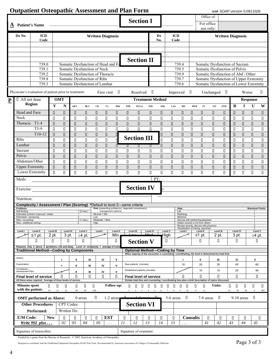|           |                                         | <b>Outpatient Osteopathic Assessment and Plan Form</b>                                           |                  |                   |                                                                |                     |                       |                          |                   |                                                  |                                                                                                              |                  |                           |                         |                                                                                                                 |                         |                       |                  | wak SOAP version 5:091102b                                                   |                  |                  |                                      |                            |
|-----------|-----------------------------------------|--------------------------------------------------------------------------------------------------|------------------|-------------------|----------------------------------------------------------------|---------------------|-----------------------|--------------------------|-------------------|--------------------------------------------------|--------------------------------------------------------------------------------------------------------------|------------------|---------------------------|-------------------------|-----------------------------------------------------------------------------------------------------------------|-------------------------|-----------------------|------------------|------------------------------------------------------------------------------|------------------|------------------|--------------------------------------|----------------------------|
|           |                                         |                                                                                                  |                  |                   |                                                                |                     |                       |                          |                   |                                                  |                                                                                                              |                  |                           |                         |                                                                                                                 |                         | Office of:            |                  |                                                                              |                  |                  |                                      |                            |
|           | $\underline{\mathbf{A}}$ Patient's Name |                                                                                                  |                  |                   |                                                                |                     |                       |                          |                   |                                                  | <b>Section I</b>                                                                                             |                  |                           |                         |                                                                                                                 |                         | For office            |                  |                                                                              |                  |                  |                                      |                            |
|           |                                         |                                                                                                  |                  |                   |                                                                |                     |                       |                          |                   |                                                  |                                                                                                              |                  |                           |                         |                                                                                                                 |                         | use only:             |                  |                                                                              |                  |                  |                                      |                            |
|           | Dx No.                                  | <b>ICD</b><br>Code                                                                               |                  |                   |                                                                |                     |                       | <b>Written Diagnosis</b> |                   |                                                  |                                                                                                              |                  | Dx<br>No.                 | <b>ICD</b><br>Code      |                                                                                                                 |                         |                       |                  | <b>Written Diagnosis</b>                                                     |                  |                  |                                      |                            |
|           |                                         |                                                                                                  |                  |                   |                                                                |                     |                       |                          |                   |                                                  |                                                                                                              |                  |                           |                         |                                                                                                                 |                         |                       |                  |                                                                              |                  |                  |                                      |                            |
|           |                                         |                                                                                                  |                  |                   |                                                                |                     |                       |                          |                   |                                                  |                                                                                                              |                  |                           |                         |                                                                                                                 |                         |                       |                  |                                                                              |                  |                  |                                      |                            |
|           |                                         |                                                                                                  |                  |                   |                                                                |                     |                       |                          |                   |                                                  | <b>Section II</b>                                                                                            |                  |                           |                         |                                                                                                                 |                         |                       |                  |                                                                              |                  |                  |                                      |                            |
|           |                                         | 739.0                                                                                            |                  |                   | Somatic Dysfunction of Head and Fa                             |                     |                       |                          |                   |                                                  |                                                                                                              |                  |                           |                         | 739.4                                                                                                           |                         |                       |                  | Somatic Dysfunction of Sacrum                                                |                  |                  |                                      |                            |
|           |                                         | 739.1                                                                                            |                  |                   | Somatic Dysfunction of Neck                                    |                     |                       |                          |                   |                                                  |                                                                                                              |                  |                           |                         | 739.5                                                                                                           |                         |                       |                  | Somatic Dysfunction of Pelvis                                                |                  |                  |                                      |                            |
|           |                                         | 739.2<br>739.8                                                                                   |                  |                   | Somatic Dysfunction of Thoracic<br>Somatic Dysfunction of Ribs |                     |                       |                          |                   |                                                  |                                                                                                              |                  |                           |                         | 739.9<br>739.7                                                                                                  |                         |                       |                  | Somatic Dysfunction of Abd / Other<br>Somatic Dysfunction of Upper Extremity |                  |                  |                                      |                            |
|           |                                         | 739.3                                                                                            |                  |                   | Somatic Dysfunction of Lumbar                                  |                     |                       |                          |                   |                                                  |                                                                                                              |                  |                           |                         | 739.6                                                                                                           |                         |                       |                  | Somatic Dysfunction of Lower Extremity                                       |                  |                  |                                      |                            |
|           |                                         | Physician's evaluation of patient prior to treatment:                                            |                  |                   |                                                                |                     |                       | First visit              | $\Box$            |                                                  | Resolved                                                                                                     | ┚                |                           | Improved                |                                                                                                                 | $\Box$                  |                       | Unchanged $\Box$ |                                                                              |                  | Worse            |                                      | П                          |
|           | $\Box$ All not done                     |                                                                                                  |                  | <b>OMT</b>        |                                                                |                     |                       |                          |                   |                                                  | <b>Treatment Method</b>                                                                                      |                  |                           |                         |                                                                                                                 |                         |                       |                  |                                                                              |                  |                  | <b>Response</b>                      |                            |
| ${\bf P}$ |                                         | Region                                                                                           | Y                | ${\bf N}$         | ART                                                            | <b>BLT</b>          | ${\bf CR}$            | $_{\rm CS}$              | <b>DIR</b>        | <b>FPR</b>                                       | <b>HVLA</b>                                                                                                  | <b>IND</b>       | $\ensuremath{\text{INR}}$ | $\mathbf{LAS}$          | ME                                                                                                              | <b>MFR</b>              | ${\bf ST}$            | <b>VIS</b>       | <b>OTH</b>                                                                   | $\mathbf R$      | $\bf{I}$         | $\mathbf{U}$                         | W                          |
|           | Head and Face                           |                                                                                                  | Π                | П                 | П                                                              | $\Box$              | $\Box$                | 0                        | 0                 | П                                                | О                                                                                                            | 0                | 0                         | О                       | 0                                                                                                               | П                       | П                     | 0                | 0                                                                            | П                | П                | П                                    | П                          |
|           | Neck                                    |                                                                                                  | $\Box$           | П                 | $\Box$                                                         | П                   | П                     | П                        | П                 | П                                                | П                                                                                                            | П                | П                         | П                       | П                                                                                                               | П                       | П                     | П                | П                                                                            | П                | $\Box$           | П                                    | П                          |
|           | Thoracic T1-4                           |                                                                                                  | $\Box$           | П                 | $\Box$                                                         | $\Box$              | $\Box$                | П                        | $\Box$            | $\Box$                                           | $\Box$                                                                                                       | $\Box$           | П                         | П                       | П                                                                                                               | $\Box$                  | П                     | П                | 0                                                                            | П                | $\Box$           | $\Box$                               | П                          |
|           |                                         | $T5-9$                                                                                           | П                | П                 | П                                                              | П                   | П                     | П                        | П                 | $\Box$                                           | $\Box$                                                                                                       | $\Box$           | П                         | П                       | П                                                                                                               | П                       | П                     | П                | П                                                                            | П                | $\Box$           | П                                    | П                          |
|           | Ribs                                    | $T10-12$                                                                                         | $\Box$           | $\Box$            | $\Box$                                                         | $\Box$              | $\Box$                | О                        | d<br>d            |                                                  | <b>Section III</b>                                                                                           |                  | $\hfill \Box$<br>$\Box$   | $\Box$                  | П                                                                                                               | $\Box$                  | П                     | $\Box$           | П                                                                            | $\Box$           | $\Box$           | $\Box$                               | П                          |
|           | Lumbar                                  |                                                                                                  | $\Box$<br>$\Box$ | П<br>$\Box$       | П<br>$\Box$                                                    | П<br>$\Box$         | П<br>$\Box$           | $\Box$<br>$\hfill \Box$  | 0                 | ण                                                | т                                                                                                            | т                | $\Box$                    | $\Box$<br>$\hfill \Box$ | П<br>$\hfill\Box$                                                                                               | П<br>$\Box$             | П<br>$\hfill \square$ | П<br>$\Box$      | $\Box$<br>П                                                                  | П<br>$\Box$      | $\Box$<br>$\Box$ | П<br>$\hfill \Box$                   | П<br>$\hfill \square$      |
|           | Sacrum                                  |                                                                                                  | П                | П                 | П                                                              | П                   | П                     | П                        | П                 | $\Box$                                           | П                                                                                                            | П                | П                         | П                       | П                                                                                                               | $\Box$                  | $\Box$                | $\Box$           | $\Box$                                                                       | П                | $\Box$           | П                                    | $\Box$                     |
|           | Pelvis                                  |                                                                                                  | $\Box$           | $\Box$            | $\Box$                                                         | $\Box$              | $\Box$                | П                        | $\Box$            | $\begin{array}{c} \square \end{array}$           | О                                                                                                            | $\Box$           | П                         | $\Box$                  | $\Box$                                                                                                          | $\hfill \Box$           | $\hfill \Box$         | $\Box$           | П                                                                            | $\Box$           | $\Box$           | $\hfill \Box$                        | $\hfill \square$           |
|           | Abdomen/Other                           |                                                                                                  | $\Box$           | П                 | П                                                              | П                   | П                     | П                        | П                 | $\Box$                                           | П                                                                                                            | П                | П                         | П                       | П                                                                                                               | $\Box$                  | $\Box$                | $\Box$           | $\Box$                                                                       | П                | $\Box$           | П                                    | $\Box$                     |
|           |                                         | <b>Upper Extremity</b><br>Lower Extremity                                                        | $\Box$<br>$\Box$ | П<br>$\Box$       | $\Box$<br>$\Box$                                               | $\Box$<br>$\Box$    | $\Box$<br>$\Box$      | П<br>$\Box$              | П<br>$\Box$       | $\begin{array}{c} \square \end{array}$<br>$\Box$ | $\Box$<br>$\Box$                                                                                             | $\Box$<br>$\Box$ | П<br>$\Box$               | $\Box$<br>$\Box$        | $\hfill \Box$<br>$\Box$                                                                                         | $\hfill \Box$<br>$\Box$ | П<br>$\Box$           | П<br>$\Box$      | П<br>$\Box$                                                                  | $\Box$<br>$\Box$ | $\Box$<br>$\Box$ | П<br>$\Box$                          | $\hfill \square$<br>$\Box$ |
|           | Meds:                                   |                                                                                                  |                  |                   |                                                                |                     |                       |                          |                   |                                                  |                                                                                                              |                  | PT:                       |                         |                                                                                                                 |                         |                       |                  |                                                                              |                  |                  |                                      |                            |
|           |                                         |                                                                                                  |                  |                   |                                                                |                     |                       |                          |                   |                                                  |                                                                                                              |                  |                           |                         |                                                                                                                 |                         |                       |                  |                                                                              |                  |                  |                                      |                            |
|           | Exercise:                               |                                                                                                  |                  |                   |                                                                |                     |                       |                          |                   |                                                  | <b>Section IV</b>                                                                                            |                  | r:                        |                         |                                                                                                                 |                         |                       |                  |                                                                              |                  |                  |                                      |                            |
|           | Nutrition:                              |                                                                                                  |                  |                   |                                                                |                     |                       |                          |                   |                                                  |                                                                                                              |                  |                           |                         |                                                                                                                 |                         |                       |                  |                                                                              |                  |                  |                                      |                            |
|           |                                         | <b>Complexity / Assessment / Plan (Scoring)</b> *Default to level 2—same criteria                |                  |                   |                                                                |                     |                       |                          |                   |                                                  |                                                                                                              |                  |                           |                         |                                                                                                                 |                         |                       |                  |                                                                              |                  |                  |                                      |                            |
|           | Problems<br>Self-limiting               |                                                                                                  |                  |                   |                                                                | 1(2 max.)           |                       | management options)      |                   |                                                  | Risk (presenting problem(s), diagnostic procedure(s)                                                         |                  |                           |                         | Data<br>Lab                                                                                                     |                         |                       |                  |                                                                              |                  |                  | <b>Maximum Points</b><br>1           |                            |
|           | Estimated-worsening.                    | Estimated problem improved / stable                                                              |                  |                   | 1<br>$\overline{2}$                                            |                     | Minimal = Min.<br>Low |                          |                   |                                                  |                                                                                                              |                  |                           |                         | Radiology<br>Medicine                                                                                           |                         |                       |                  |                                                                              |                  |                  | $\mathbf{1}$<br>$\mathbf{1}$         |                            |
|           | New-no workup<br>New-additional workup  |                                                                                                  |                  |                   | $\overline{4}$                                                 | $3(1 \text{ max.})$ | High                  | Moderate = Mod.          |                   |                                                  |                                                                                                              |                  |                           |                         | Discuss with performing physician<br>Obtain records or Hx from others<br>Review records, discuss with physician |                         |                       |                  |                                                                              |                  |                  | $\mathbf{1}$<br>-1<br>$\overline{2}$ |                            |
|           | Level I                                 | Level II                                                                                         | <b>Level III</b> | <b>Level IV</b>   |                                                                | <b>Level V</b>      | Level I               |                          | Level II          | Level III                                        |                                                                                                              | <b>Level IV</b>  |                           | Level V                 | Visualization of tracing, specimen<br>Level I                                                                   |                         | Level II              | Level III        |                                                                              | <b>Level IV</b>  |                  | $\mathcal{P}$<br><b>Level V</b>      |                            |
|           |                                         | $\leq$ 1 pt.                                                                                     | 2 pt.            | 3 pt.             |                                                                | ≥4 pt.              |                       |                          | Min               |                                                  |                                                                                                              |                  |                           | ∣High                   |                                                                                                                 |                         | $≤1$ pt.              | 2 pt.            |                                                                              | 3 pt.            |                  | ≥4 pt.                               |                            |
|           |                                         | П.<br>Requires only 2 above 3 (problems, risk and data). Level of complexity = average of inclue | П                | П                 |                                                                | П                   |                       |                          | П                 |                                                  | <b>Section V</b>                                                                                             |                  |                           | П                       |                                                                                                                 |                         | П                     | П                |                                                                              | П                |                  | $\Box$                               |                            |
|           |                                         | <b>Traditional Method-Coding by Components</b>                                                   |                  |                   |                                                                |                     |                       |                          |                   |                                                  | <b>Optional Method-Coding by Time</b>                                                                        |                  |                           |                         |                                                                                                                 |                         |                       |                  |                                                                              |                  |                  |                                      |                            |
|           | History                                 |                                                                                                  |                  | п                 | Ш                                                              | Ш                   |                       | IV                       | v                 |                                                  | When majority of the encounter is counseling / coordinating, the level is determined by total time           |                  |                           |                         |                                                                                                                 |                         | Ш                     | Ш                |                                                                              | IV               |                  | v                                    |                            |
|           | Examination                             |                                                                                                  |                  |                   | Ш                                                              | Ш                   |                       | IV                       | v                 |                                                  | New patients (minutes)                                                                                       |                  |                           |                         | 10                                                                                                              |                         | 20                    | 30               |                                                                              | 45               |                  | 60                                   |                            |
|           | Complexity /<br>Assessment Plan         |                                                                                                  |                  |                   | ш                                                              | Ш                   |                       | IV                       | v                 |                                                  | Established patients (minutes)                                                                               |                  |                           |                         |                                                                                                                 |                         | 10                    | 15               |                                                                              | 25               |                  | 40                                   |                            |
|           |                                         | <b>Final level of service</b>                                                                    |                  | П                 | $\Box$                                                         | П                   |                       | П                        | П                 |                                                  | <b>Final level of service</b>                                                                                |                  |                           |                         | П                                                                                                               |                         | П                     | П                |                                                                              | П                |                  | П                                    |                            |
|           | <b>Minutes spent</b>                    | All these areas required. Average of three levels of service.                                    | П                | О<br>▯            | 0                                                              | П                   | П                     |                          | <b>Follow-up:</b> | 0                                                | Dictate total time and counseling / coordinating time plus a brief description of topics discussed<br>П<br>П | Л                | Ц<br>П                    | O.<br>U.                | О<br>o                                                                                                          | П                       | П                     | Units:           |                                                                              | П<br>П           | 0                | 0                                    | U.                         |
|           | with the patient:                       |                                                                                                  | $10\,$           | 15<br>25          | 40                                                             | 60                  | $>60$                 |                          |                   |                                                  | 2<br>3                                                                                                       | $\overline{4}$   | 5<br>6                    | $\tau$<br>8             | 10<br>9                                                                                                         | 11                      | 12                    |                  | D                                                                            | W                | M                | $\mathbf Y$                          | <b>RN</b>                  |
|           |                                         | <b>OMT</b> performed as Above:                                                                   |                  |                   |                                                                | 0 areas             | 0                     |                          | $1-2$ areas       |                                                  |                                                                                                              |                  |                           | 5-6 areas               | O                                                                                                               |                         | 7-8 areas             |                  | o                                                                            |                  | $9-10$ areas     | ┚                                    |                            |
|           |                                         | <b>Other Procedures</b>                                                                          |                  | <b>CPT</b> Codes: |                                                                |                     |                       |                          |                   |                                                  | <b>Section VI</b>                                                                                            |                  |                           |                         |                                                                                                                 |                         |                       |                  |                                                                              |                  |                  |                                      |                            |
|           |                                         | Performed:                                                                                       |                  | Written Dx:       |                                                                |                     |                       |                          |                   |                                                  |                                                                                                              |                  |                           |                         |                                                                                                                 |                         |                       |                  |                                                                              |                  |                  |                                      |                            |
|           | E/M Code:                               |                                                                                                  | <b>New</b>       | П                 | П                                                              | П                   | П                     | <b>EST</b>               |                   | П                                                | 0                                                                                                            | П                | П                         | П                       |                                                                                                                 | <b>Consults</b>         | O                     |                  | ▯                                                                            | П                | Π                |                                      | П                          |
|           |                                         | Write 992 plus                                                                                   |                  | 02                | 03                                                             | 04                  | 05                    | $\sim$ $\sim$ $\sim$     |                   | 11                                               | 12                                                                                                           | 13               | 14                        | 15                      | $\ddots$                                                                                                        |                         | 41                    | 42               |                                                                              | 43               | 44               | 45                                   |                            |
|           |                                         | Signature of transcriber:                                                                        |                  |                   |                                                                |                     |                       |                          |                   |                                                  | Signature of examiner:                                                                                       |                  |                           |                         |                                                                                                                 |                         |                       |                  |                                                                              |                  |                  |                                      |                            |

Signature of transcriber: Signature of examiner:

Funded by a grant from the Bureau of Research.  $\oslash$  2002 American Academy of Osteopathy.

Page 3 of 3<br>Designed to coordinate with the Established Outpatient Osteopathic SOAP Note Form. Recommended by American Association of Colleges of Osteopathic Medicine. Page 3 of 3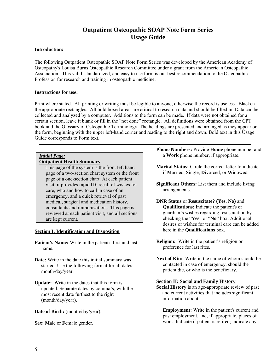## **Outpatient Osteopathic SOAP Note Form Series Usage Guide**

#### **Introduction:**

The following Outpatient Osteopathic SOAP Note Form Series was developed by the American Academy of Osteopathy's Louisa Burns Osteopathic Research Committee under a grant from the American Osteopathic Association. This valid, standardized, and easy to use form is our best recommendation to the Osteopathic Profession for research and training in osteopathic medicine.

#### **Instructions for use:**

Print where stated. All printing or writing must be legible to anyone, otherwise the record is useless. Blacken the appropriate rectangles. All bold boxed areas are critical to research data and should be filled in. Data can be collected and analyzed by a computer. Additions to the form can be made. If data were not obtained for a certain section, leave it blank or fill in the "not done" rectangle. All definitions were obtained from the CPT book and the Glossary of Osteopathic Terminology. The headings are presented and arranged as they appear on the form, beginning with the upper left-hand corner and reading to the right and down. Bold text in this Usage Guide corresponds to Form text.

#### *Initial Page:*

#### **Outpatient Health Summary**

 This page of the system is the front left hand page of a two-section chart system or the front page of a one-section chart. At each patient visit, it provides rapid ID, recall of wishes for care, who and how to call in case of an emergency, and a quick retrieval of past medical, surgical and medication history, consultants and immunizations. This page is reviewed at each patient visit, and all sections are kept current.

#### **Section I: Identification and Disposition**

**Patient's Name:** Write in the patient's first and last name.

**Date:** Write in the date this initial summary was started. Use the following format for all dates: month/day/year.

**Update:** Write in the dates that this form is updated. Separate dates by comma's, with the most recent date furthest to the right (month/day/year).

Date of Birth: (month/day/year).

**Sex: M**ale or **F**emale gender.

**Phone Numbers:** Provide **Home** phone number and a **Work** phone number, if appropriate.

- **Marital Status:** Circle the correct letter to indicate if **M**arried, **S**ingle, **D**ivorced, or **W**idowed.
- **Significant Others:** List them and include living arrangements.
- **DNR Status** or **Resuscitate? (Yes**, **No)** and **Qualifications:** Indicate the patient's or guardian's wishes regarding resuscitation by checking the "**Yes**" or "**No**" box. Additional desires or wishes for terminal care can be added here in the **Qualifications** box.
- **Religion:** Write in the patient's religion or preference for last rites.
- **Next of Kin:** Write in the name of whom should be contacted in case of emergency, should the patient die, or who is the beneficiary.

#### **Section II: Social and Family History**

**Social History** is an age-appropriate review of past and current activities that includes significant information about:

**Employment:** Write in the patient's current and past employment, and, if appropriate, places of work. Indicate if patient is retired; indicate any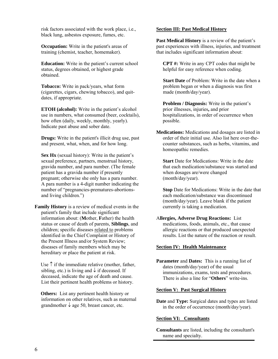risk factors associated with the work place, i.e., black lung, asbestos exposure, fumes, etc.

**Occupation:** Write in the patient's areas of training (chemist, teacher, homemaker).

**Education:** Write in the patient's current school status, degrees obtained, or highest grade obtained.

**Tobacco:** Write in pack/years, what form (cigarettes, cigars, chewing tobacco), and quitdates, if appropriate.

**ETOH (alcohol):** Write in the patient's alcohol use in numbers, what consumed (beer, cocktails), how often (daily, weekly, monthly, yearly). Indicate past abuse and sober date.

**Drugs:** Write in the patient's illicit drug use, past and present, what, when, and for how long.

**Sex Hx** (sexual history): Write in the patient's sexual preference, partners, menstrual history, gravida number, and para number. (The female patient has a gravida number if presently pregnant; otherwise she only has a para number. A para number is a 4-digit number indicating the number of "pregnancies-prematures-abortionsand living children.")

**Family History** is a review of medical events in the patient's family that include significant information about: (**M**other, **F**ather) the health status or cause of death of parents, **Siblings**, and children; specific diseases related to problems identified in the Chief Complaint or History of the Present Illness and/or System Review; diseases of family members which may be hereditary or place the patient at risk.

Use  $\uparrow$  if the immediate relative (mother, father, sibling, etc.) is living and  $\downarrow$  if deceased. If deceased, indicate the age of death and cause. List their pertinent health problems or history.

**Others:** List any pertinent health history or information on other relatives, such as maternal grandmother  $\downarrow$  age 50, breast cancer, etc.

#### **Section III: Past Medical History**

**Past Medical History** is a review of the patient's past experiences with illness, injuries, and treatment that includes significant information about:

**CPT #:** Write in any CPT codes that might be helpful for easy reference when coding.

**Start Date** of Problem: Write in the date when a problem began or when a diagnosis was first made (month/day/year).

**Problem / Diagnosis:** Write in the patient's prior illnesses, injuries**,** and prior hospitalizations, in order of occurrence when possible.

**Medications:** Medications and dosages are listed in order of their initial use. Also list here over-thecounter substances, such as herbs, vitamins, and homeopathic remedies.

**Start** Date for Medications: Write in the date that each medication/substance was started and when dosages are/were changed (month/day/year).

**Stop** Date for Medications: Write in the date that each medication/substance was discontinued (month/day/year). Leave blank if the patient currently is taking a medication.

A**llergies, Adverse Drug Reactions:** List medications, foods, animals, etc., that cause allergic reactions or that produced unexpected results. List the nature of the reaction or result.

#### **Section IV: Health Maintenance**

**Parameter** and **Dates:** This is a running list of dates (month/day/year) of the usual immunizations, exams, tests and procedures. There is also a line for "**Others**" write-ins.

#### **Section V: Past Surgical History**

**Date and Type:** Surgical dates and types are listed in the order of occurrence (month/day/year).

#### **Section VI: Consultants**

**Consultants** are listed, including the consultant's name and specialty.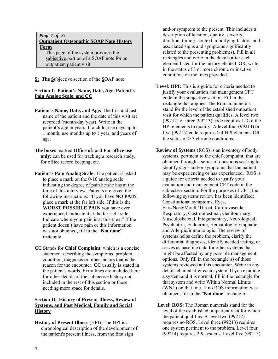#### *Page 1 of 3:*  **Outpatient Osteopathic SOAP Note History Form**

This page of the system provides the subjective portion of a SOAP note for an outpatient patient visit.

**S: The S**ubjective section of the **S**OAP note.

#### **Section I: Patient's Name, Date, Age, Patient's Pain Analog Scale, and CC**

- Patient's Name, Date, and Age: The first and last name of the patient and the date of this visit are recorded (month/day/year). Write in the patient's age in years. If a child, use days up to 1 month, use months up to 1 year, and years of age.
- **The boxes** marked **Office of:** and **For office use only:** can be used for tracking a research study, for office record keeping, etc.
- **Patient's Pain Analog Scale:** The patient is asked to place a mark on the 0-10 analog scale indicating the degree of pain he/she has at the time of this interview. Patients are given the following instructions: "If you have **NO PAIN**, place a mark at the far left side. If this is the **WORST POSSIBLE PAIN** you have ever experienced, indicate it at the far right side. Indicate where your pain is at this time." If the patient doesn't have pain or this information was not obtained, fill in the "**Not done**" rectangle.
- **CC** Stands for **Chief Complaint**, which is a concise statement describing the symptoms, problem, condition, diagnosis or other factors that is the reason for the encounter. **CC** usually is stated in the patient's words. Extra lines are included here for other details of the subjective history not included in the rest of this section or those needing more space for details.

#### **Section II. History of Present Illness, Review of Systems, and Past Medical, Family and Social History**

**History of Present Illness** (HPI): The HPI is a chronological description of the development of the patient's present illness, from the first sign

and/or symptom to the present. This includes a description of location, quality, severity, duration, timing, context, modifying factors, and associated signs and symptoms significantly related to the presenting problem(s). Fill in all rectangles and write in the details after each element listed for the history elicited. OR, write in the status of 3 or more chronic or inactive conditions on the lines provided.

- Level: **HPI:** This is a guide for criteria needed to justify your evaluation and management CPT code in the subjective section. Fill in the rectangle that applies. The Roman numerals stand for the level of the established outpatient visit for which the patient qualifies. A level two (99212) or three (99213) code requires 1-3 of the HPI elements to qualify. A level four (99214) or five (99215) code requires  $\geq$  4 HPI elements OR the status of  $\geq$  3 chronic conditions.
- **Review of Systems** (ROS) is an inventory of body systems, pertinent to the chief complaint, that are obtained through a series of questions seeking to identify signs and/or symptoms that the patient may be experiencing or has experienced. ROS is a guide for criteria needed to justify your evaluation and management CPT code in the subjective section. For the purposes of CPT, the following systems review has been identified: Constitutional symptoms, Eyes, Ears/Nose/Mouth/Throat, Cardiovascular, Respiratory, Gastrointestinal, Genitourinary, Musculoskeletal, Integumentary, Neurological, Psychiatric, Endocrine, Hematologic/lymphatic, and Allergic/immunologic. The review of systems helps define the problem, clarify the differential diagnoses, identify needed testing, or serves as baseline data for other systems that might be affected by any possible management options. Only fill in the rectangle(s) of those systems reviewed at this encounter. Write in any details elicited after each system. If you examine a system and it is normal, fill in the rectangle for that system and write Within Normal Limits (WNL) on that line. If no ROS information was obtained, fill in the "**Not done**" rectangle.
- **Level: ROS:** The Roman numerals stand for the level of the established outpatient visit for which the patient qualifies. A level two (99212) requires no ROS. Level three (99213) requires one system pertinent to the problem. Level four (99214) requires 2-9 systems. Level five (99215)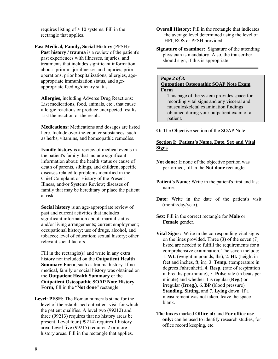requires listing of  $\geq 10$  systems. Fill in the rectangle that applies.

**Past Medical, Family, Social History** (PFSH): **Past history / trauma** is a review of the patient's past experiences with illnesses, injuries, and treatments that includes significant information about: prior major illnesses and injuries, prior operations, prior hospitalizations, allergies, ageappropriate immunization status, and ageappropriate feeding/dietary status.

**Allergies**, including Adverse Drug Reactions: List medications, food, animals, etc., that cause allergic reactions or produce unexpected results. List the reaction or the result.

**Medications:** Medications and dosages are listed here. Include over-the-counter substances, such as herbs, vitamins, and homeopathic remedies.

**Family history** is a review of medical events in the patient's family that include significant information about: the health status or cause of death of parents, siblings, and children; specific diseases related to problems identified in the Chief Complaint or History of the Present Illness, and/or Systems Review; diseases of family that may be hereditary or place the patient at risk.

**Social history** is an age-appropriate review of past and current activities that includes significant information about: marital status and/or living arrangements; current employment; occupational history; use of drugs, alcohol, and tobacco; level of education; sexual history; other relevant social factors.

Fill in the rectangle(s) and write in any extra history not included on the **Outpatient Health Summary Form**, such as trauma history. If no medical, family or social history was obtained on the **Outpatient Health Summary** or the **Outpatient Osteopathic SOAP Note History Form**, fill in the "**Not done**" rectangle.

**Level: PFSH:** The Roman numerals stand for the level of the established outpatient visit for which the patient qualifies. A level two (99212) and three (99213) requires that no history areas be present. Level four (99214) requires 1 history area. Level five (99215) requires 2 or more history areas. Fill in the rectangle that applies.

**Overall History:** Fill in the rectangle that indicates the average level determined using the level of HPI, ROS or PFSH provided.

**Signature of examiner:** Signature of the attending physician is mandatory. Also, the transcriber should sign, if this is appropriate.

#### *Page 2 of 3:*

#### **Outpatient Osteopathic SOAP Note Exam Form**

This page of the system provides space for recording vital signs and any visceral and musculoskeletal examination findings obtained during your outpatient exam of a patient.

**O:** The **O**bjective section of the S**O**AP Note.

#### **Section I: Patient's Name, Date, Sex and Vital Signs**

- **Not done:** If none of the objective portion was performed, fill in the **Not done** rectangle.
- **Patient's Name:** Write in the patient's first and last name.
- **Date:** Write in the date of the patient's visit (month/day/year).
- **Sex:** Fill in the correct rectangle for **Male** or **Female** gender.
- **Vital Signs:** Write in the corresponding vital signs on the lines provided. Three  $(3)$  of the seven  $(7)$ listed are needed to fulfill the requirements for a comprehensive examination. The seven include: 1. **Wt.** (weight in pounds, lbs), 2. **Ht.** (height in feet and inches, ft, in), 3. **Temp.** (temperature in degrees Fahrenheit), 4. **Resp.** (rate of respiration in breaths-per-minute), 5. **Pulse** rate (in beats per minute) and whether it is regular (**Reg.**) or irregular (**Irreg.),** 6. **BP** (blood pressure) **Standing**, **Sitting**, and 7. **Lying** down. If a measurement was not taken, leave the space blank.
- **The boxes** marked **Office of:** and **For office use only:** can be used to identify research studies, for office record keeping, etc.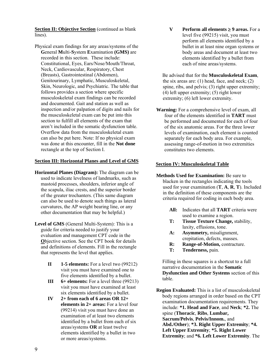**Section II: Objective Section** (continued as blank lines).

Physical exam findings for any areas/systems of the **G**eneral **M**ulti-**S**ystem **E**xamination **(GMS)** are recorded in this section. These include: Constitutional, Eyes, Ears/Nose/Mouth/Throat, Neck, Cardiovascular, Respiratory, Chest (Breasts), Gastrointestinal (Abdomen), Genitourinary, Lymphatic, Musculoskeletal, Skin, Neurologic, and Psychiatric. The table that follows provides a section where specific musculoskeletal exam findings can be recorded and documented. Gait and station as well as inspection and/or palpation of digits and nails for the musculoskeletal exam can be put into this section to fulfill all elements of the exam that aren't included in the somatic dysfunction table. Overflow data from the musculoskeletal exam can also be put here. Note: If no physical exam was done at this encounter, fill in the **Not done** rectangle at the top of Section I.

#### **Section III: Horizontal Planes and Level of GMS**

- **Horizontal Planes (Diagram):** The diagram can be used to indicate levelness of landmarks, such as mastoid processes, shoulders, inferior angle of the scapula, iliac crests, and the superior border of the greater trochanters. (This same diagram can also be used to denote such things as lateral curvatures, the AP weight bearing line, or any other documentation that may be helpful.)
- **Level of GMS** (General Multi-System): This is a guide for criteria needed to justify your evaluation and management CPT code in the **O**bjective section. See the CPT book for details and definitions of elements. Fill in the rectangle that represents the level that applies.
	- **II 1-5 elements:** For a level two (99212) visit you must have examined one to five elements identified by a bullet.
	- **III** 6+ elements: For a level three (99213) visit you must have examined at least six elements identified by a bullet.
	- **IV 2+ from each of 6 areas OR 12+ elements in 2+ areas:** For a level four (99214) visit you must have done an examination of at least two elements identified by a bullet from each of six areas/systems **OR** at least twelve elements identified by a bullet in two or more areas/systems.

**V** Perform all elements  $\geq$  9 areas. For a level five (99215) visit, you must perform all elements identified by a bullet in at least nine organ systems or body areas and document at least two elements identified by a bullet from each of nine areas/systems.

Be advised that for the **Musculoskeletal Exam**, the six areas are:  $(1)$  head, face, and neck;  $(2)$ spine, ribs, and pelvis; (3) right upper extremity; (4) left upper extremity; (5) right lower extremity; (6) left lower extremity.

**Warning:** For a comprehensive level of exam, all four of the elements identified in **TART** must be performed and documented for each of four of the six anatomic areas. For the three lower levels of examination, each element is counted separately for each body area. For example, assessing range-of-motion in two extremities constitutes two elements.

#### **Section IV: Musculoskeletal Table**

- **Methods Used for Examination:** Be sure to blacken in the rectangles indicating the tools used for your examination (**T**, **A**, **R**, **T**). Included in the definition of these components are the criteria required for coding in each body area.
	- **All:** Indicates that all **TART** criteria were used to examine a region.
	- **T: Tissue Texture Change,** stability, laxity, effusions, tone.
	- **A: Asymmetry,** misalignment, crepitation, defects, masses.
	- **R:** Range-of-Motion, contracture.
	- **T: Tenderness,** pain.

Filling in these squares is a shortcut to a full narrative documentation in the **Somatic Dysfunction and Other Systems** section of this table.

**Region Evaluated:** This is a list of musculoskeletal body regions arranged in order based on the CPT examination documentation requirements. They include: **\*1. Head and Face**, and **Neck**; **\*2.** The spine (**Thoracic**, **Ribs**, **Lumbar, Sacrum/Pelvis**, **Pelvis/Innom.**, and **Abd./Other**); **\*3. Right Upper Extremity**; **\*4. Left Upper Extremity**; **\*5. Right Lower Extremity**; and **\*6. Left Lower Extremity**. The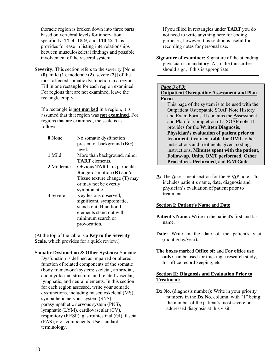thoracic region is broken down into three parts based on vertebral levels for innervation specificity: **T1-4**, **T5-9**, and **T10-12**. This provides for ease in listing interrelationships between musculoskeletal findings and possible involvement of the visceral system.

**Severity:** This section refers to the severity [None] (**0**), mild (**1**), moderate (**2**), severe (**3**)] of the most affected somatic dysfunction in a region. Fill in one rectangle for each region examined. For regions that are not examined, leave the rectangle empty.

If a rectangle is **not marked** in a region, it is assumed that that region was **not examined**. For regions that are examined, the scale is as follows:

| 0 None     | No somatic dysfunction                  |
|------------|-----------------------------------------|
|            | present or background (BG)              |
|            | level                                   |
| 1 Mild     | More than background, minor             |
|            | <b>TART</b> elements                    |
| 2 Moderate | Obvious TART; in particular             |
|            | <b>Range-of-motion (R) and/or</b>       |
|            | <b>T</b> issue texture change $(T)$ may |
|            | or may not be overtly                   |
|            | symptomatic.                            |
| 3 Severe   | Key lesions observed,                   |
|            | significant, symptomatic,               |
|            | stands out; $\bf{R}$ and/or $\bf{T}$    |
|            | elements stand out with                 |
|            | minimum search or                       |
|            | provocation.                            |

(At the top of the table is a **Key to the Severity Scale**, which provides for a quick review.)

**Somatic Dysfunction & Other Systems:** Somatic Dysfunction is defined as impaired or altered function of related components of the somatic (body framework) system: skeletal, arthrodial, and myofascial structure, and related vascular, lymphatic, and neural elements. In this section for each region assessed, write your somatic dysfunctions, including musculoskeletal (MS), sympathetic nervous system (SNS), parasympathetic nervous system (PNS), lymphatic (LYM), cardiovascular (CV), respiratory (RESP), gastrointestinal (GI), fascial (FAS), etc., components. Use standard terminology.

If you filled in rectangles under **TART** you do not need to write anything here for coding purposes; however, this section is useful for recording notes for personal use.

**Signature of examiner:** Signature of the attending physician is mandatory. Also, the transcriber should sign, if this is appropriate.

#### *Page 3 of 3:*

**Outpatient Osteopathic Assessment and Plan Form** 

This page of the system is to be used with the Outpatient Osteopathic SOAP Note History and Exam Forms. It contains the **A**ssessment and **P**lan for completion of a SOAP note. It provides for the **Written Diagnosis, Physician's evaluation of patient prior to treatment,** treatment **table for OMT,** other instructions and treatments given, coding, instructions, **Minutes spent with the patient**, **Follow-up**, **Units**, **OMT performed**, **Other Procedures Performed**, and **E/M Code**.

**A:** The **A**ssessment section for the SO**A**P note. This includes patient's name, date, diagnosis and physician's evaluation of patient prior to treatment.

#### **Section I: Patient's Name** and **Date**

- **Patient's Name:** Write in the patient's first and last name.
- **Date:** Write in the date of the patient's visit (month/day/year).
- **The boxes** marked **Office of:** and **For office use only:** can be used for tracking a research study, for office record keeping, etc.

#### **Section II: Diagnosis and Evaluation Prior to Treatment:**

**Dx No.** (diagnosis number): Write in your priority numbers in the **Dx No.** column, with "1" being the number of the patient's most severe or addressed diagnosis at this visit.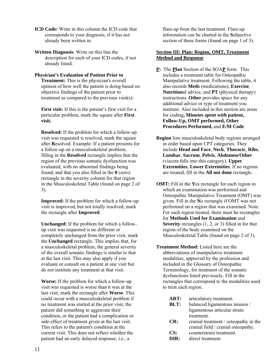- **ICD Code:** Write in this column the ICD code that corresponds to your diagnosis, if it has not already been written in.
- **Written Diagnosis**: Write on this line the description for each of your ICD codes, if not already listed.

#### **Physician's Evaluation of Patient Prior to Treatment:** This is the physician's overall opinion of how well the patient is doing based on objective findings of the patient prior to treatment as compared to the previous visit(s):

First visit: If this is the patient's first visit for a particular problem, mark the square after **First visit.** 

**Resolved:** If the problem for which a follow-up visit was requested is resolved, mark the square after **R**esolved. Example: If a patient presents for a follow-up on a musculoskeletal problem, filling in the **Resolved** rectangle implies that the region of the previous somatic dysfunction was evaluated, with no abnormal findings being found, and that you also filled in the **0** (zero) rectangle in the severity column for that region in the Musculoskeletal Table (found on page 2 of 3).

**Improved:** If the problem for which a follow-up visit is improved, but not totally resolved, mark the rectangle after **Improved**.

**Unchanged:** If the problem for which a followup visit was requested is no different or completely unchanged from the prior visit, mark the **Unchanged** rectangle. This implies that, for a musculoskeletal problem, the general severity of the overall somatic findings is similar to that at the last visit. This may also apply if you evaluate or consult on a patient at one visit but do not institute any treatment at that visit.

**Worse:** If the problem for which a follow-up visit was requested is worse than it was at the last visit, mark the rectangle after **Worse**. This could occur with a musculoskeletal problem if no treatment was started at the prior visit, the patient did something to aggravate their condition, or the patient had a complication or side effect of treatment given at the last visit. This refers to the patient's condition at the current visit. This does not reflect whether the patient had an early delayed response, i.e., a

flare-up from the last treatment. Flare-up information can be charted in the **S**ubjective section of these forms (found on page 1 of 3).

#### **Section III: Plan: Region, OMT, Treatment Method and Response**

- **P:** The **Plan** Section of the SOA**P** form. This includes a treatment table for Osteopathic Manipulative treatment. Following the table, it also records **Meds** (medications), **Exercise**, **Nutrition**al advice, and **PT** (physical therapy) instructions. **Other** provides space for any additional advice or type of treatment you institute. Also included in this section are areas for coding**, Minutes spent with patient, Follow-Up, OMT performed, Other Procedures Performed,** and **E/M Code**.
- **Region** lists musculoskeletal body regions arranged in order based upon CPT categories. They include **Head and Face**, **Neck**, **Thoracic**, **Ribs**, **Lumbar**, **Sacrum**, **Pelvis**, **Abdomen/Other** (viscera falls into this category), **Upper Extremities**, **Lower Extremities**. If no regions are treated, fill in the **All not done** rectangle.
- **OMT:** Fill in the **Y**es rectangle for each region in which an examination was performed and Osteopathic Manipulative Treatment (OMT) was given. Fill in the **N**o rectangle if OMT was not performed on a region that was examined. Note: For each region treated, there must be rectangles for **Methods Used for Examination** and **Severity** rectangles (1, 2, or 3) filled in for that region of the body examined on the Musculoskeletal Table (found on page 2 of 3).
- **Treatment Method:** Listed here are the abbreviations of manipulative treatment modalities, approved by the profession and included in the Glossary of Osteopathic Terminology, for treatment of the somatic dysfunctions listed previously. Fill in the rectangles that correspond to the modalities used to treat each region.
	- **ART:** articulatory treatment.
	- **BLT:** balanced ligamentous tension / ligamentous articular strain treatment.
	- **CR:** cranial treatment / osteopathy in the cranial field / cranial osteopathy.
	- **CS:** counterstrain treatment.
	- **DIR:** direct treatment.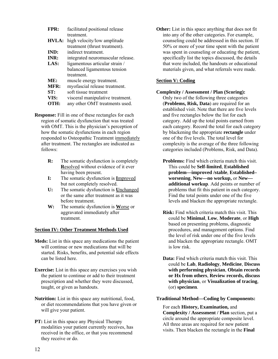| FPR:         | facilitated positional release    |
|--------------|-----------------------------------|
|              | treatment                         |
| <b>HVLA:</b> | high velocity/low amplitude       |
|              | treatment (thrust treatment).     |
| <b>IND:</b>  | indirect treatment.               |
| INR:         | integrated neuromuscular release. |
| LAS:         | ligamentous articular strain /    |
|              | balanced ligamentous tension      |
|              | treatment                         |
| ME:          | muscle energy treatment.          |
| <b>MFR:</b>  | myofascial release treatment.     |
| ST:          | soft tissue treatment             |
| VIS:         | visceral manipulative treatment.  |
| OTH:         | any other OMT treatments used.    |

**Response:** Fill in one of these rectangles for each region of somatic dysfunction that was treated with OMT. This is the physician's perception of how the somatic dysfunctions in each region responded to Osteopathic Treatment immediately after treatment. The rectangles are indicated as follows:

- **R:** The somatic dysfunction is completely **R**esolved without evidence of it ever having been present.
- **I:** The somatic dysfunction is **I**mproved but not completely resolved.
- **U:** The somatic dysfunction is **U**nchanged or the same after treatment as it was before treatment.
- **W:** The somatic dysfunction is **W**orse or aggravated immediately after treatment.

#### **Section IV: Other Treatment Methods Used**

- **Meds:** List in this space any medications the patient will continue or new medications that will be started. Risks, benefits, and potential side effects can be listed here.
- **Exercise:** List in this space any exercises you wish the patient to continue or add to their treatment prescription and whether they were discussed, taught, or given as handouts.
- **Nutrition:** List in this space any nutritional, food, or diet recommendations that you have given or will give your patient.
- **PT:** List in this space any Physical Therapy modalities your patient currently receives, has received in the office, or that you recommend they receive or do.

**Other:** List in this space anything that does not fit into any of the other categories. For example, counseling could be addressed in this section. If 50% or more of your time spent with the patient was spent in counseling or educating the patient, specifically list the topics discussed, the details that were included, the handouts or educational materials given, and what referrals were made.

#### **Section V: Coding**

#### **Complexity / Assessment / Plan (Scoring):**

Only two of the following three categories (**Problems, Risk, Data**) are required for an established visit. Note that there are five levels and five rectangles below the list for each category. Add up the total points earned from each category. Record the total for each category by blackening the appropriate **rectangle** under one of the five levels. The total level for complexity is the average of the three following categories included (Problems, Risk, and Data).

- **Problems:** Find which criteria match this visit. This could be **Self**-**limited**, **Established problem—improved /stable**, **Established– worsening**, **New—no workup,** or **New additional workup**. Add points or number of problems that fit this patient in each category. Find the total points under one of the five levels and blacken the appropriate rectangle.
- **Risk:** Find which criteria match this visit. This could be **Minimal**, **Low**, **Moderate**, or **High** based on presenting problems, diagnostic procedures, and management options. Find the level of risk under one of the five levels and blacken the appropriate rectangle. OMT is low risk.
- **Data:** Find which criteria match this visit. This could be **Lab**, **Radiology**, **Medicine**, **Discuss with performing physician**, **Obtain records or Hx from others**, **Review records, discuss with physician**, or **Visualization of tracing**, (or) **specimen**.

#### **Traditional Method—Coding by Components:**

For each **History, Examination,** and **Complexity / Assessment / Plan** section, put a circle around the appropriate composite level. All three areas are required for new patient visits. Then blacken the rectangle in the **Final**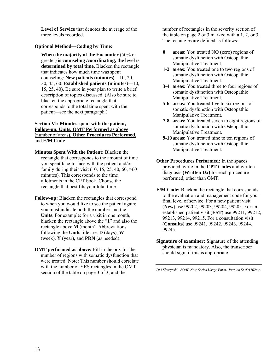**Level of Service** that denotes the average of the three levels recorded.

#### **Optional Method—Coding by Time:**

**When the majority of the Encounter** (50% or greater) **is counseling /coordinating, the level is determined by total time.** Blacken the rectangle that indicates how much time was spent counseling: **New patients (minutes)**—10, 20, 30, 45, 60; **Established patients (minutes**)—10, 15, 25, 40). Be sure in your plan to write a brief description of topics discussed. (Also be sure to blacken the appropriate rectangle that corresponds to the total time spent with the patient—see the next paragraph.)

#### **Section VI: Minutes spent with the patient, Follow-up, Units, OMT Performed as above** (number of areas**), Other Procedures Performed,**  and **E/M Code**

**Minutes Spent With the Patient:** Blacken the rectangle that corresponds to the amount of time you spent face-to-face with the patient and/or family during their visit  $(10, 15, 25, 40, 60, >60)$ minutes). This corresponds to the time allotments in the CPT book. Choose the rectangle that best fits your total time.

- **Follow-up:** Blacken the rectangles that correspond to when you would like to see the patient again; you must indicate both the number and the **Units**. For example: for a visit in one month, blacken the rectangle above the "**1**" and also the rectangle above **M** (month). Abbreviations following the **Units** title are: **D** (days), **W** (week), **Y** (year), and **PRN** (as needed).
- **OMT** performed as above: Fill in the box for the number of regions with somatic dysfunction that were treated. Note: This number should correlate with the number of YES rectangles in the OMT section of the table on page 3 of 3, and the

number of rectangles in the severity section of the table on page 2 of 3 marked with a 1, 2, or 3. The rectangles are defined as follows:

- **0 areas:** You treated NO (zero) regions of somatic dysfunction with Osteopathic Manipulative Treatment.
- **1-2 areas:** You treated one to two regions of somatic dysfunction with Osteopathic Manipulative Treatment.
- **3-4 areas:** You treated three to four regions of somatic dysfunction with Osteopathic Manipulative Treatment.
- **5-6 areas:** You treated five to six regions of somatic dysfunction with Osteopathic Manipulative Treatment.
- **7-8 areas:** You treated seven to eight regions of somatic dysfunction with Osteopathic Manipulative Treatment.
- **9-10 areas:** You treated nine to ten regions of somatic dysfunction with Osteopathic Manipulative Treatment.
- **Other Procedures Performed:** In the spaces provided, write in the **CPT Codes** and written diagnosis **(Written Dx)** for each procedure performed, other than OMT.
- **E/M Code:** Blacken the rectangle that corresponds to the evaluation and management code for your final level of service. For a new patient visit (**New**) use 99202, 99203, 99204, 99205. For an established patient visit (**EST**) use 99211, 99212, 99213, 99214, 99215. For a consultation visit (**Consults**) use 99241, 99242, 99243, 99244, 99245.
- **Signature of examiner:** Signature of the attending physician is mandatory. Also, the transcriber should sign, if this is appropriate.

*D: \ Sleszynski | SOAP Note Series Usage Form. Version 5: 091102cw.*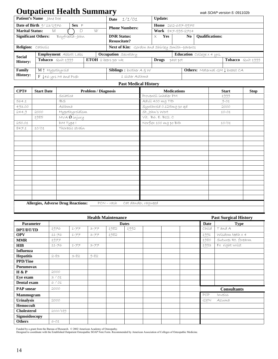# **Outpatient Health Summary** *wak SOAP version 5: 091102b*

|                            | Patient's Name Jane Doe                |                       | <b>Date</b> $1/1/01$                          | <b>Update:</b> |                                |                                                     |
|----------------------------|----------------------------------------|-----------------------|-----------------------------------------------|----------------|--------------------------------|-----------------------------------------------------|
|                            | Date of Birth $9/13/1976$<br>$Sex \in$ |                       | <b>Phone Numbers:</b>                         |                | <b>Home</b> $262 - 657 - 5975$ |                                                     |
| <b>Marital Status:</b>     | D<br>M                                 | W                     |                                               |                | Work 847-595-2714              |                                                     |
| <b>Significant Others:</b> | Boyfriend--John                        |                       | <b>DNR Status:</b>                            | Yes<br>X.      | N <sub>0</sub>                 | <b>Oualifications:</b>                              |
|                            |                                        |                       | <b>Resuscitate?</b>                           |                |                                |                                                     |
| Religion: Catholic         |                                        |                       | Next of Kin: Gordon and Shirley Smith-parents |                |                                |                                                     |
| <b>Social</b>              | <b>Employment</b> Abbott Labs          |                       | <b>Occupation</b> Secretary                   |                |                                | <b>Education</b> College $x \notin \mathcal{Y}$ rs. |
| <b>History:</b>            | Tobacco Quit 1999                      | $ETOH$ 2 beers per wk |                                               | <b>Drugs</b>   | past pot                       | <b>Tobacco</b> Quit 1999                            |
|                            |                                        |                       |                                               |                |                                |                                                     |
| Family                     | M 1 Hypothyroid                        |                       | <b>Siblings</b> 1 brother $A \notin W$        |                |                                | <b>Others:</b> Maternal $GM \downarrow$ breast $CA$ |
| <b>History:</b>            | $F \downarrow 46$ yrs MI and PUD       |                       | 1 síster Asthma                               |                |                                |                                                     |

#### **Past Medical History**

| CPT#   | <b>Start Date</b> | <b>Problem / Diagnosis</b>                              | <b>Medications</b>      | <b>Start</b> | <b>Stop</b> |
|--------|-------------------|---------------------------------------------------------|-------------------------|--------------|-------------|
|        |                   | Scíatíca                                                | Proventil inhaler PM    | 1999         |             |
| 564.1  |                   | <b>IBS</b>                                              | Advíl 400 mg TID        | $9 - 01$     |             |
| 493.00 |                   | Asthma                                                  | Synthroid 0.125mg po qd | 2000         |             |
| 244.9  | 2000              | Hypothyroídísm                                          | St. John's Wort         | $10 - 01$    |             |
|        | 1985              | MVA <b>Ó</b> ínjury                                     | Vít. B6. E. B12. C      |              |             |
| 250.01 |                   | DM Type I                                               | Norflex 100 mg po BID   | 10/01        |             |
| 847.1  | 10/01             | Thoracíc straín                                         |                         |              |             |
|        |                   |                                                         |                         |              |             |
|        |                   |                                                         |                         |              |             |
|        |                   |                                                         |                         |              |             |
|        |                   |                                                         |                         |              |             |
|        |                   |                                                         |                         |              |             |
|        |                   |                                                         |                         |              |             |
|        |                   |                                                         |                         |              |             |
|        |                   |                                                         |                         |              |             |
|        |                   |                                                         |                         |              |             |
|        |                   |                                                         |                         |              |             |
|        |                   |                                                         |                         |              |             |
|        |                   |                                                         |                         |              |             |
|        |                   |                                                         |                         |              |             |
|        |                   |                                                         |                         |              |             |
|        |                   | <b>Allergies, Adverse Drug Reactions:</b><br>$PCN-rash$ | Cat dander, ragweed     |              |             |

|                    |           |          |          | <b>Health Maintenance</b> |              |  |             | <b>Past Surgical History</b> |
|--------------------|-----------|----------|----------|---------------------------|--------------|--|-------------|------------------------------|
| <b>Parameter</b>   |           |          |          |                           | <b>Dates</b> |  | <b>Date</b> | <b>Type</b>                  |
| DPT/DT/TD          | 1976      | 1-77     | $3 - 77$ | 1982                      | 1992         |  | Chíld       | TandA                        |
| <b>OPV</b>         | $11 - 76$ | 1-77     | $3 - 77$ | 1982                      |              |  | 1991        | Wisdom teeth $x$ 4           |
| <b>MMR</b>         | 1977      |          |          |                           |              |  | 1980        | Sutures Rt. forearm          |
| <b>HIB</b>         | $11 - 76$ | 1-77     | $3 - 77$ |                           |              |  | 1993        | Fx ríght wríst               |
| <b>Influenza</b>   |           |          |          |                           |              |  |             |                              |
| <b>Hepatitis</b>   | $2 - 83$  | $3 - 82$ | $9 - 82$ |                           |              |  |             |                              |
| <b>PPD/Tine</b>    |           |          |          |                           |              |  |             |                              |
| <b>Pneumovax</b>   |           |          |          |                           |              |  |             |                              |
| H & P              | 2000      |          |          |                           |              |  |             |                              |
| Eye exam           | 3/01      |          |          |                           |              |  |             |                              |
| Dental exam        | 6/01      |          |          |                           |              |  |             |                              |
| <b>PAP</b> smear   | 2000      |          |          |                           |              |  |             | <b>Consultants</b>           |
| Mammogram          |           |          |          |                           |              |  | PCP         | Inveiss                      |
| <b>Urinalysis</b>  | 2000      |          |          |                           |              |  | GYN         | Azuma                        |
| <b>Hemoccult</b>   |           |          |          |                           |              |  |             |                              |
| <b>Cholesterol</b> | 2000/189  |          |          |                           |              |  |             |                              |
| Sigmoidoscopy      |           |          |          |                           |              |  |             |                              |
| <b>Others</b>      | $6 - 01$  |          |          |                           |              |  |             |                              |

Funded by a grant from the Bureau of Research. © 2002 American Academy of Osteopathy.<br>Designed to coordinate with the Established Outpatient Osteopathic SOAP Note Form. Recommended by American Association of Colleges of Os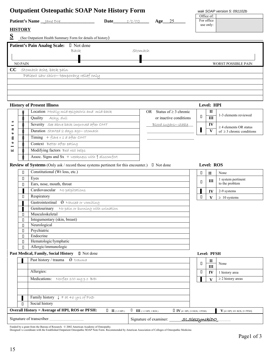|                                                                                                                                                                                                                                                                                                                                                                                                                                                                                                                                           |                                     |        |                          | wak SOAP version 5: 091102b          |
|-------------------------------------------------------------------------------------------------------------------------------------------------------------------------------------------------------------------------------------------------------------------------------------------------------------------------------------------------------------------------------------------------------------------------------------------------------------------------------------------------------------------------------------------|-------------------------------------|--------|--------------------------|--------------------------------------|
|                                                                                                                                                                                                                                                                                                                                                                                                                                                                                                                                           | $Age$ 25                            |        | Office of:<br>For office |                                      |
| Patient's Name <u>Jane Doe</u><br>1/1/O2                                                                                                                                                                                                                                                                                                                                                                                                                                                                                                  |                                     |        | use only:                |                                      |
| <b>HISTORY</b>                                                                                                                                                                                                                                                                                                                                                                                                                                                                                                                            |                                     |        |                          |                                      |
| (See Outpatient Health Summary Form for details of history)                                                                                                                                                                                                                                                                                                                                                                                                                                                                               |                                     |        |                          |                                      |
| Patient's Pain Analog Scale: □ Not done                                                                                                                                                                                                                                                                                                                                                                                                                                                                                                   |                                     |        |                          |                                      |
| Stomach<br>Back                                                                                                                                                                                                                                                                                                                                                                                                                                                                                                                           |                                     |        |                          |                                      |
|                                                                                                                                                                                                                                                                                                                                                                                                                                                                                                                                           |                                     |        |                          |                                      |
| <b>NO PAIN</b>                                                                                                                                                                                                                                                                                                                                                                                                                                                                                                                            |                                     |        |                          | WORST POSSIBLE PAIN                  |
| $CC$ stomach ache, back pain                                                                                                                                                                                                                                                                                                                                                                                                                                                                                                              |                                     |        |                          |                                      |
| Patient saw chiro-temporary relief only                                                                                                                                                                                                                                                                                                                                                                                                                                                                                                   |                                     |        |                          |                                      |
|                                                                                                                                                                                                                                                                                                                                                                                                                                                                                                                                           |                                     |        |                          |                                      |
|                                                                                                                                                                                                                                                                                                                                                                                                                                                                                                                                           |                                     |        |                          |                                      |
|                                                                                                                                                                                                                                                                                                                                                                                                                                                                                                                                           |                                     |        |                          |                                      |
|                                                                                                                                                                                                                                                                                                                                                                                                                                                                                                                                           |                                     |        | Level: HPI               |                                      |
| <b>History of Present Illness</b>                                                                                                                                                                                                                                                                                                                                                                                                                                                                                                         |                                     |        | $\mathbf I$              |                                      |
| Location Mostly míd-epígastríc and míd-back                                                                                                                                                                                                                                                                                                                                                                                                                                                                                               | OR Status of $\geq$ 3 chronic       | П      | III                      | 1-3 elements reviewed                |
| Quality<br>Achy, dull                                                                                                                                                                                                                                                                                                                                                                                                                                                                                                                     | or inactive conditions              |        |                          |                                      |
| Severity see above back improved after OMT                                                                                                                                                                                                                                                                                                                                                                                                                                                                                                | Blood sugars-stable                 |        | IV                       | $\geq$ 4 elements OR status          |
| Duration started 2 days ago-stomach                                                                                                                                                                                                                                                                                                                                                                                                                                                                                                       |                                     | ı      | $\mathbf{V}$             | of $\geq$ 3 chronic conditions       |
| Timing $\overline{f + \text{flare} \times 1}$ d after OMT                                                                                                                                                                                                                                                                                                                                                                                                                                                                                 |                                     |        |                          |                                      |
| Context Better after eating                                                                                                                                                                                                                                                                                                                                                                                                                                                                                                               |                                     |        |                          |                                      |
| Modifying factors Bed rest helps                                                                                                                                                                                                                                                                                                                                                                                                                                                                                                          |                                     |        |                          |                                      |
| Assoc. Signs and $Sx +$ weakness with $\uparrow$ discomfort                                                                                                                                                                                                                                                                                                                                                                                                                                                                               |                                     |        |                          |                                      |
| Review of Systems (Only ask / record those systems pertinent for this encounter.) I Not done                                                                                                                                                                                                                                                                                                                                                                                                                                              |                                     |        | Level: ROS               |                                      |
| Constitutional (Wt loss, etc.)<br>$\Box$                                                                                                                                                                                                                                                                                                                                                                                                                                                                                                  |                                     | П      | $\mathbf{I}$             | None                                 |
| Eyes<br>П                                                                                                                                                                                                                                                                                                                                                                                                                                                                                                                                 |                                     |        |                          | 1 system pertinent                   |
| Ears, nose, mouth, throat<br>П                                                                                                                                                                                                                                                                                                                                                                                                                                                                                                            |                                     | $\Box$ | III                      | to the problem                       |
| Cardiovascular No palpítations                                                                                                                                                                                                                                                                                                                                                                                                                                                                                                            |                                     |        | IV                       | 2-9 systems                          |
| Respiratory<br>$\Box$                                                                                                                                                                                                                                                                                                                                                                                                                                                                                                                     |                                     | $\Box$ | V                        | $\geq 10$ systems                    |
| Gastrointestinal $\hat{\emptyset}$ Nausea or vomiting                                                                                                                                                                                                                                                                                                                                                                                                                                                                                     |                                     |        |                          |                                      |
| Genitourinary<br>No paín or burning with urination                                                                                                                                                                                                                                                                                                                                                                                                                                                                                        |                                     |        |                          |                                      |
| Musculoskeletal<br>П                                                                                                                                                                                                                                                                                                                                                                                                                                                                                                                      |                                     |        |                          |                                      |
| Integumentary (skin, breast)<br>П                                                                                                                                                                                                                                                                                                                                                                                                                                                                                                         |                                     |        |                          |                                      |
| Neurological<br>П<br>Psychiatric                                                                                                                                                                                                                                                                                                                                                                                                                                                                                                          |                                     |        |                          |                                      |
| П<br>Endocrine<br>П                                                                                                                                                                                                                                                                                                                                                                                                                                                                                                                       |                                     |        |                          |                                      |
| Hematologic/lymphatic<br>П                                                                                                                                                                                                                                                                                                                                                                                                                                                                                                                |                                     |        |                          |                                      |
| Allergic/immunologic<br>$\Box$                                                                                                                                                                                                                                                                                                                                                                                                                                                                                                            |                                     |        |                          |                                      |
|                                                                                                                                                                                                                                                                                                                                                                                                                                                                                                                                           |                                     |        | Level: PFSH              |                                      |
|                                                                                                                                                                                                                                                                                                                                                                                                                                                                                                                                           |                                     |        |                          |                                      |
|                                                                                                                                                                                                                                                                                                                                                                                                                                                                                                                                           |                                     |        |                          | None                                 |
| Past history / trauma<br>$\acute{\text{o}}$ trauma                                                                                                                                                                                                                                                                                                                                                                                                                                                                                        |                                     | П      | $\mathbf{I}$             |                                      |
| Allergies:                                                                                                                                                                                                                                                                                                                                                                                                                                                                                                                                |                                     | О      | $\rm III$<br>IV          |                                      |
|                                                                                                                                                                                                                                                                                                                                                                                                                                                                                                                                           |                                     |        |                          | 1 history area                       |
| Past Medical, Family, Social History D Not done<br>Medications: Norflex 100 mg p 0 BID                                                                                                                                                                                                                                                                                                                                                                                                                                                    |                                     |        | $\mathbf{V}$             | $\geq$ 2 history areas               |
|                                                                                                                                                                                                                                                                                                                                                                                                                                                                                                                                           |                                     |        |                          |                                      |
|                                                                                                                                                                                                                                                                                                                                                                                                                                                                                                                                           |                                     |        |                          |                                      |
| Family history $1 \nFat 46$ yrs of PUD                                                                                                                                                                                                                                                                                                                                                                                                                                                                                                    |                                     |        |                          |                                      |
| Social history<br>$\Box$<br><b>Overall History = Average of HPI, ROS or PFSH:</b><br>$\begin{array}{ll} \rule{2mm}{2mm} \rule{0mm}{2mm} \rule{2mm}{2mm} \rule{2mm}{2mm} \rule{2mm}{2mm} \rule{2mm}{2mm} \rule{2mm}{2mm} \rule{2mm}{2mm} \rule{2mm}{2mm} \rule{2mm}{2mm} \rule{2mm}{2mm} \rule{2mm}{2mm} \rule{2mm}{2mm} \rule{2mm}{2mm} \rule{2mm}{2mm} \rule{2mm}{2mm} \rule{2mm}{2mm} \rule{2mm}{2mm} \rule{2mm}{2mm} \rule{2mm}{2mm} \rule{2mm}{2mm} \rule{2mm}{2mm} \rule{2mm}{2mm} \rule{2mm}{$<br>$\Box$ $\coprod$ (1-3 HPI, 1 ROS) | $\Box$ IV (4+ HPI, 2-9 ROS, 1 PFSH) |        |                          | ${\bf V}$ (4+ HPI, 10+ ROS, 2+ PFSH) |

Funded by a grant from the Bureau of Research. © 2002 American Academy of Osteopathy.<br>Designed t o coordinate with the Established Outpatient Osteopathic SOAP Note Form. Recommended by American Association of Colleges of O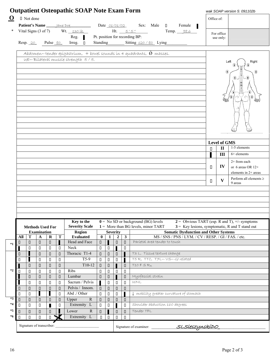| □ Not done                                                                                                                                                                                                                                     | Office of: |                                     |                                                      |
|------------------------------------------------------------------------------------------------------------------------------------------------------------------------------------------------------------------------------------------------|------------|-------------------------------------|------------------------------------------------------|
| Patient's Name Jane Doe Date 01/01/02 Sex: Male D<br>Female                                                                                                                                                                                    |            |                                     |                                                      |
| Vital Signs $(3 \text{ of } 7)$ Wt. 130 lb.<br>Ht. $5'5''$<br>Temp. 98.6                                                                                                                                                                       |            |                                     |                                                      |
| Pt. position for recording BP:<br>Reg.                                                                                                                                                                                                         |            | For office<br>use only:             |                                                      |
| Standing Sitting 120/80 Lying<br>Resp. 20 Pulse <u>80</u> Irreg. □                                                                                                                                                                             |            |                                     |                                                      |
|                                                                                                                                                                                                                                                |            |                                     |                                                      |
| Abdomen tender epigastrium, + bowel sounds in 4 quadrants, $\acute{\theta}$ masses.                                                                                                                                                            |            |                                     |                                                      |
| UE-Bilateral muscle strength 5/5.                                                                                                                                                                                                              |            |                                     | Right<br>Left                                        |
|                                                                                                                                                                                                                                                |            |                                     |                                                      |
|                                                                                                                                                                                                                                                |            | ⊕                                   |                                                      |
|                                                                                                                                                                                                                                                |            |                                     |                                                      |
|                                                                                                                                                                                                                                                |            |                                     |                                                      |
|                                                                                                                                                                                                                                                |            |                                     |                                                      |
|                                                                                                                                                                                                                                                |            |                                     |                                                      |
|                                                                                                                                                                                                                                                |            |                                     |                                                      |
|                                                                                                                                                                                                                                                |            |                                     |                                                      |
|                                                                                                                                                                                                                                                |            |                                     |                                                      |
|                                                                                                                                                                                                                                                |            |                                     |                                                      |
|                                                                                                                                                                                                                                                |            |                                     |                                                      |
|                                                                                                                                                                                                                                                |            |                                     |                                                      |
|                                                                                                                                                                                                                                                |            |                                     |                                                      |
|                                                                                                                                                                                                                                                |            | <b>Level of GMS</b><br>$\mathbf{I}$ | 1-5 elements                                         |
|                                                                                                                                                                                                                                                | П          |                                     | $6+$ elements                                        |
|                                                                                                                                                                                                                                                |            | III                                 |                                                      |
|                                                                                                                                                                                                                                                |            |                                     | 2+ from each                                         |
|                                                                                                                                                                                                                                                | П.         | IV                                  | or 6 areas OR 12+                                    |
|                                                                                                                                                                                                                                                |            |                                     | elements in 2+ areas                                 |
|                                                                                                                                                                                                                                                |            |                                     |                                                      |
|                                                                                                                                                                                                                                                | $\Box$     | V                                   | 9 areas                                              |
|                                                                                                                                                                                                                                                |            |                                     |                                                      |
|                                                                                                                                                                                                                                                |            |                                     |                                                      |
|                                                                                                                                                                                                                                                |            |                                     |                                                      |
|                                                                                                                                                                                                                                                |            |                                     |                                                      |
|                                                                                                                                                                                                                                                |            |                                     |                                                      |
|                                                                                                                                                                                                                                                |            |                                     |                                                      |
| $0 =$ No SD or background (BG) levels<br>Key to the                                                                                                                                                                                            |            |                                     | $2 =$ Obvious TART (esp. R and T), $\pm$ /- symptoms |
| <b>Severity Scale</b><br>$1 =$ More than BG levels, minor TART<br><b>Methods Used For</b><br><b>Examination</b>                                                                                                                                |            |                                     | $3$ = Key lesions, symptomatic, R and T stand out    |
| <b>Somatic Dysfunction and Other Systems</b><br><b>Region</b><br><b>Severity</b><br>$\mathbf T$<br>$\mathbf{0}$<br>$\overline{2}$<br><b>Evaluated</b><br>1<br>3<br>MS / SNS / PNS / LYM. / CV / RESP. / GI / FAS. / etc.<br>All<br>Т<br>A<br>R |            |                                     |                                                      |
| Paríetal area tender to touch<br>Head and Face<br>П<br>$\Box$<br>$\hfill \Box$<br>$\Box$<br>$\Box$<br>О<br>O                                                                                                                                   |            |                                     |                                                      |
| Neck<br>$\Box$<br>$\Box$<br>$\Box$<br>П<br>$\Box$<br>$\Box$<br>П                                                                                                                                                                               |            |                                     |                                                      |
| Thoracic T1-4<br>T3 L, Tissue texture change<br>$\Box$<br>$\Box$<br>$\begin{array}{c} \square \end{array}$<br>$\Box$<br>$\begin{array}{c} \square \end{array}$<br>$\Box$<br>О                                                                  |            |                                     |                                                      |
| $T5-9$<br>T5R, TTC, T7L-VS-GI related<br>$\Box$<br>П<br>$\Box$<br>$\Box$<br>П<br>П<br>П                                                                                                                                                        |            |                                     |                                                      |
| $T10-12$<br>$T10 F S R_R$<br>$\hfill \Box$<br>$\hfill \Box$<br>$\Box$<br>$\Box$<br>$\Box$<br>$\Box$<br>$\Box$                                                                                                                                  |            |                                     |                                                      |
| Ribs<br>$\hfill \square$<br>П<br>$\Box$<br>$\Box$<br>$\Box$<br>П<br>П<br>П<br>П                                                                                                                                                                |            |                                     |                                                      |
| Myofascíal straín<br>Lumbar<br>$\Box$<br>$\begin{array}{c} \square \end{array}$<br>$\hfill \square$<br>$\Box$<br>П<br>П<br>$\Box$                                                                                                              |            |                                     |                                                      |
| Sacrum / Pelvis<br>$\hfill \square$<br>WNL<br>$\Box$<br>П<br>$\Box$<br>О<br>П<br>О                                                                                                                                                             |            |                                     |                                                      |
| Pelvis / Innom.<br>$\hfill \Box$<br>$\hfill \square$<br>$\Box$<br>$\Box$<br>$\Box$<br>$\Box$<br>П<br>$\Box$<br>П                                                                                                                               |            |                                     |                                                      |
| I<br>Abd ./ Other<br>$\Box$<br>$\Box$<br>$\Box$<br>I mobility greater curvature of stomach<br>$\Box$<br>П<br>н<br>П                                                                                                                            |            |                                     |                                                      |
| Upper<br>${\bf R}$<br>$\hfill \Box$<br>$\Box$<br>$\Box$<br>$\Box$<br>$\begin{array}{c} \square \end{array}$<br>$\Box$<br>$\begin{array}{c} \square \end{array}$<br>$\Box$<br>П                                                                 |            |                                     | Perform all elements $\geq$                          |
| Extremity L<br>Shoulder abduction 160 degrees<br>$\hfill \square$<br>$\Box$<br>$\hfill \Box$<br>$\Box$<br>П<br>$\Box$<br>П<br>П                                                                                                                |            |                                     |                                                      |
| Lower<br>${\bf R}$<br>Tender TFL<br>$\hfill \Box$<br>$\Box$<br>$\hfill \square$<br>П<br>$\Box$<br>$\Box$<br>$\Box$<br><b>D</b> ★<br>Extremity L<br>$\hfill \square$<br>$\Box$<br>$\hfill \square$<br>$\Box$<br>$\Box$<br>$\Box$<br>П           |            |                                     |                                                      |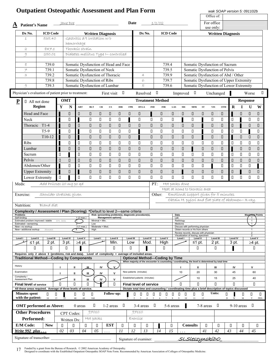| <b>Outpatient Osteopathic Assessment and Plan Form</b>                                                           |                          |                            |                              |                         |               |                  |                                      |            |                  |                                                                                                                                             |                |                         |                 |                             |                                                                                            |                  | Office of:         |        | wak SOAP version 5: 091102b            |                  |                                 |                         |
|------------------------------------------------------------------------------------------------------------------|--------------------------|----------------------------|------------------------------|-------------------------|---------------|------------------|--------------------------------------|------------|------------------|---------------------------------------------------------------------------------------------------------------------------------------------|----------------|-------------------------|-----------------|-----------------------------|--------------------------------------------------------------------------------------------|------------------|--------------------|--------|----------------------------------------|------------------|---------------------------------|-------------------------|
|                                                                                                                  |                          |                            | lane Doe                     |                         |               |                  |                                      |            | Date             |                                                                                                                                             |                | 1/1/02                  |                 |                             |                                                                                            |                  | For office         |        |                                        |                  |                                 |                         |
| <b>Patient's Name</b><br>$\overline{\mathbf{A}}$                                                                 |                          |                            |                              |                         |               |                  |                                      |            |                  |                                                                                                                                             |                |                         |                 |                             |                                                                                            |                  | use only:          |        |                                        |                  |                                 |                         |
| Dx No.                                                                                                           | <b>ICD Code</b>          |                            |                              |                         |               |                  | <b>Written Diagnosis</b>             |            |                  | Dx No.                                                                                                                                      |                |                         | <b>ICD Code</b> |                             |                                                                                            |                  |                    |        | <b>Written Diagnosis</b>               |                  |                                 |                         |
| $\perp$                                                                                                          | 535.40                   |                            | Gastritis d/t irritation w/o |                         |               |                  |                                      |            |                  |                                                                                                                                             |                |                         |                 |                             |                                                                                            |                  |                    |        |                                        |                  |                                 |                         |
|                                                                                                                  |                          |                            | hemorrhage                   |                         |               |                  |                                      |            |                  |                                                                                                                                             |                |                         |                 |                             |                                                                                            |                  |                    |        |                                        |                  |                                 |                         |
| $\mathfrak{D}% _{T}=\mathfrak{D}_{T}\!\left( a,b\right) ,\mathfrak{D}_{T}=\mathfrak{D}_{T}\!\left( a,b\right) ,$ | 847.1                    |                            | Thoracíc straín              |                         |               |                  |                                      |            |                  |                                                                                                                                             |                |                         |                 |                             |                                                                                            |                  |                    |        |                                        |                  |                                 |                         |
| 9                                                                                                                | 250.01                   |                            |                              |                         |               |                  | Díabetes mellítus Type I-controlled  |            |                  |                                                                                                                                             |                |                         |                 |                             |                                                                                            |                  |                    |        |                                        |                  |                                 |                         |
| $\otimes$                                                                                                        | 739.0                    |                            |                              |                         |               |                  | Somatic Dysfunction of Head and Face |            |                  |                                                                                                                                             |                | 739.4                   |                 |                             | Somatic Dysfunction of Sacrum                                                              |                  |                    |        |                                        |                  |                                 |                         |
| $\neq$                                                                                                           | 739.1                    |                            |                              |                         |               |                  | Somatic Dysfunction of Neck          |            |                  |                                                                                                                                             |                | 739.5                   |                 |                             | Somatic Dysfunction of Pelvis                                                              |                  |                    |        |                                        |                  |                                 |                         |
| 3                                                                                                                | 739.2                    |                            |                              |                         |               |                  | Somatic Dysfunction of Thoracic      |            |                  | $\overline{A}$                                                                                                                              |                | 739.9                   |                 |                             | Somatic Dysfunction of Abd / Other                                                         |                  |                    |        |                                        |                  |                                 |                         |
|                                                                                                                  | 739.8                    |                            | Somatic Dysfunction of Ribs  |                         |               |                  |                                      |            |                  | 6                                                                                                                                           |                | 739.7                   |                 |                             | Somatic Dysfunction of Upper Extremity                                                     |                  |                    |        |                                        |                  |                                 |                         |
| $\circ$                                                                                                          | 739.3                    |                            |                              |                         |               |                  | Somatic Dysfunction of Lumbar        |            |                  | 5                                                                                                                                           |                | 739.6                   |                 |                             | Somatic Dysfunction of Lower Extremity                                                     |                  |                    |        |                                        |                  |                                 |                         |
| Physician's evaluation of patient prior to treatment:                                                            |                          |                            |                              |                         |               |                  | First visit $\Box$                   |            |                  | Resolved $\Box$                                                                                                                             |                |                         |                 |                             | Improved $\Box$                                                                            |                  | Unchanged          |        | п                                      |                  | Worse                           | $\Box$                  |
| $\mathbf{P}$                                                                                                     | □ All not done           |                            | <b>OMT</b>                   |                         |               |                  |                                      |            |                  |                                                                                                                                             |                | <b>Treatment Method</b> |                 |                             |                                                                                            |                  |                    |        |                                        |                  | Response                        |                         |
|                                                                                                                  | Region                   | Y                          | N                            | ART                     | <b>BLT</b>    | CR               | $\mathbf{CS}\,$                      | <b>DIR</b> | <b>FPR</b>       | <b>HVLA</b>                                                                                                                                 | $\mathbf{IND}$ | <b>INR</b>              | $\mathbf{LAS}$  | ME                          | <b>MFR</b>                                                                                 | ${\bf ST}$       | <b>VIS</b>         | OTH    | $\mathbf R$                            | I                | $\mathbf U$                     | $\overline{\mathbf{W}}$ |
| Head and Face                                                                                                    |                          |                            | $\Box$                       | 0                       | $\Box$        | $\Box$           | П                                    | $\Box$     | $\Box$           | П                                                                                                                                           |                | $\Box$                  | $\Box$          | $\Box$                      | $\Box$                                                                                     | $\Box$           | П                  | П      |                                        | П                | П                               | $\Box$                  |
| Neck                                                                                                             |                          |                            | П                            |                         | П             | П                | П                                    | П          |                  | П                                                                                                                                           | П              | П                       | П               |                             | П                                                                                          |                  | П                  | П      | П                                      |                  | О                               | П                       |
|                                                                                                                  | Thoracic T1-4            |                            | $\Box$                       | $\Box$                  | $\hfill \Box$ | $\Box$           | $\Box$                               | $\Box$     | $\Box$           | $\Box$                                                                                                                                      | $\Box$         | $\hfill \square$        | $\Box$          | $\hfill \square$            | $\Box$                                                                                     |                  | П                  | $\Box$ | $\Box$                                 |                  | $\Box$                          | $\Box$                  |
|                                                                                                                  | $T5-9$                   |                            | О                            |                         | П             | П                | П                                    | П          | $\Box$           |                                                                                                                                             | П              | П                       | П               | П                           | П                                                                                          |                  | П                  | П      | $\begin{array}{c} \square \end{array}$ | П                |                                 | П                       |
|                                                                                                                  | T10-12                   |                            | $\Box$                       |                         | $\hfill \Box$ | $\hfill \Box$    | $\Box$                               | П          | $\hfill \Box$    |                                                                                                                                             | $\Box$         | $\Box$                  | $\Box$          | $\Box$                      | $\Box$                                                                                     |                  | П                  | П      |                                        | $\hfill \square$ | П                               | $\hfill\Box$            |
| <b>Ribs</b>                                                                                                      |                          |                            | П                            | П                       | П             | П                | $\Box$                               | П          | $\Box$           | П                                                                                                                                           | П              | $\Box$                  | П               | $\Box$                      | $\Box$                                                                                     | П                | $\Box$             | П      | $\Box$                                 | $\Box$           | $\Box$                          | $\Box$                  |
| Lumbar                                                                                                           |                          |                            | $\Box$                       | $\Box$                  | $\hfill\Box$  | $\Box$           | $\Box$                               | $\Box$     | $\Box$           | $\hfill \Box$                                                                                                                               | $\Box$         | $\Box$                  | $\Box$          | $\Box$                      |                                                                                            | $\Box$           | $\hfill \square$   | $\Box$ |                                        | $\hfill \square$ | $\hfill \Box$                   | $\hfill\Box$            |
| Sacrum                                                                                                           |                          | О                          |                              | П                       | $\Box$        | П                | П                                    | П          | $\Box$           | $\Box$                                                                                                                                      | П              | П                       | $\Box$          | П                           | $\Box$                                                                                     | П                | $\Box$             | П      | $\Box$                                 | $\Box$           | $\Box$                          | $\Box$                  |
| Pelvis                                                                                                           |                          | $\Box$                     | $\Box$                       | $\Box$                  | $\Box$        | П                | П                                    | $\Box$     | $\Box$           | П                                                                                                                                           | $\Box$         | П                       | П               | П                           | $\hfill \Box$                                                                              | $\Box$           | П                  | П      | П                                      | $\Box$           | П                               | П                       |
|                                                                                                                  | Abdomen/Other            |                            | $\Box$                       | П                       | П             | П                | П                                    | П          | $\Box$           | $\Box$                                                                                                                                      | П              | П                       | $\Box$          | $\Box$                      | $\Box$                                                                                     | П                |                    | П      | $\Box$                                 | $\Box$           | П                               |                         |
|                                                                                                                  | <b>Upper Extremity</b>   |                            | $\hfill \Box$                |                         | $\hfill \Box$ | $\hfill \square$ | $\Box$                               | $\Box$     | $\hfill \square$ | $\Box$                                                                                                                                      | $\Box$         | $\hfill \square$        | $\Box$          |                             | $\Box$                                                                                     | $\hfill \square$ | П                  | $\Box$ | $\hfill\Box$                           |                  | П                               | $\hfill\Box$            |
|                                                                                                                  | Lower Extremity          | $\Box$                     |                              | П                       | $\Box$        | П                | $\Box$                               | $\Box$     | $\Box$           | $\Box$                                                                                                                                      | П              | П                       | $\Box$          | П                           | $\Box$                                                                                     | $\Box$           | $\Box$             | П      | $\Box$                                 | $\Box$           | П                               | П                       |
| Meds:                                                                                                            | Add Prilosec 20 mg po gd |                            |                              |                         |               |                  |                                      |            |                  |                                                                                                                                             | PT:            |                         | Hot packs done  |                             |                                                                                            |                  |                    |        |                                        |                  |                                 |                         |
|                                                                                                                  |                          |                            |                              |                         |               |                  |                                      |            |                  |                                                                                                                                             |                |                         |                 |                             | Heat at home to thoracíc area                                                              |                  |                    |        |                                        |                  |                                 |                         |
| Exercise:                                                                                                        | Shoulder stretches given |                            |                              |                         |               |                  |                                      |            |                  |                                                                                                                                             |                | Other:                  |                 |                             | Emotional support given for 5 minutes<br>Obtain H. pylori and flat plate of abdomen-X-ray. |                  |                    |        |                                        |                  |                                 |                         |
| Nutrition:                                                                                                       | Bland diet               |                            |                              |                         |               |                  |                                      |            |                  |                                                                                                                                             |                |                         |                 |                             |                                                                                            |                  |                    |        |                                        |                  |                                 |                         |
| Complexity / Assessment / Plan (Scoring) *Default to level 2-same criteria                                       |                          |                            |                              |                         |               |                  |                                      |            |                  |                                                                                                                                             |                |                         |                 |                             |                                                                                            |                  |                    |        |                                        |                  |                                 |                         |
| <b>Problems</b><br>Self-limiting                                                                                 |                          |                            |                              | 1(2 max.)               |               |                  | <b>Management options)</b>           |            |                  | Risk: (presenting problem(s), diagnostic procedure(s),                                                                                      |                |                         | Data<br>Lab     |                             |                                                                                            |                  |                    |        |                                        |                  |                                 | <b>Maximum</b> Points   |
| Estimated problem improved / stable<br>Estimated-worsening                                                       |                          | OM, back                   |                              |                         | Low           | Minimal = Min.   |                                      |            |                  |                                                                                                                                             |                |                         |                 | Radiology<br>Medicine       |                                                                                            |                  |                    |        |                                        |                  | $\overline{1}$                  |                         |
| New-no workup<br>New-additional workup                                                                           | Stomach                  |                            | -4                           | $3(1 \text{ max.})$     | High          | Moderate = Mod.  |                                      |            |                  |                                                                                                                                             |                |                         |                 |                             | Discuss with performing physician<br>Obtain records or Hx from others                      |                  |                    |        |                                        |                  | $\overline{1}$                  |                         |
|                                                                                                                  |                          |                            |                              |                         |               |                  |                                      |            |                  |                                                                                                                                             |                |                         |                 |                             | Review records, discuss with physician<br>Visualization of tracing, specimen               |                  |                    |        |                                        |                  | $\overline{2}$<br>$\mathcal{P}$ |                         |
| Level I<br>Level II<br>≤1 pt.                                                                                    | Level III<br>2 pt.       |                            | <b>Level IV</b><br>3 pt.     | Level V<br>$\geq$ 4 pt. |               | Level I          | Level II<br>Min.                     |            | Level III<br>Low | <b>Level IV</b><br>Mod.                                                                                                                     |                | Level V<br>High         |                 | Level I                     | Level II<br>≤1 pt.                                                                         |                  | Level III<br>2 pt. |        | <b>Level IV</b><br>3 pt.               |                  | Level V                         | ≥4 pt.                  |
| П                                                                                                                | П                        |                            | П                            |                         |               |                  | $\Box$                               |            | П                |                                                                                                                                             |                | П                       |                 |                             | П                                                                                          |                  | П                  |        |                                        |                  |                                 | $\Box$                  |
| Requires only 2 above 3 (problems, risk and data).                                                               |                          |                            |                              |                         |               |                  |                                      |            |                  | Level of complexity = average of included areas.                                                                                            |                |                         |                 |                             |                                                                                            |                  |                    |        |                                        |                  |                                 |                         |
| <b>Traditional Method-Coding by Components</b>                                                                   |                          |                            |                              |                         |               |                  |                                      |            |                  | <b>Optional Method-Coding by Time</b><br>When majority of the encounter is counseling / coordinating, the level is determined by total time |                |                         |                 |                             |                                                                                            |                  |                    |        |                                        |                  |                                 |                         |
| History                                                                                                          |                          | л                          | Ш                            |                         | щ             | IV               | v                                    |            |                  |                                                                                                                                             |                |                         |                 |                             | Ш                                                                                          |                  | Ш                  |        | IV                                     |                  | v                               |                         |
| Examination                                                                                                      |                          | п                          | Ш                            |                         | Ш             | IV               | v                                    |            |                  | New patients (minutes)                                                                                                                      |                |                         |                 | 10                          | 20                                                                                         |                  | 30                 |        | 45                                     |                  |                                 | 60                      |
| Complexity /<br>Assessment Plan                                                                                  |                          |                            | Ш                            |                         | Ш             | IV               | v                                    |            |                  | Established patients (minutes)                                                                                                              |                |                         |                 |                             | 10                                                                                         |                  | 15                 |        | 25                                     |                  |                                 | 40                      |
| <b>Final level of service</b>                                                                                    |                          | п                          | $\Box$                       |                         | П             |                  | $\Box$                               |            |                  | <b>Final level of service</b>                                                                                                               |                |                         |                 | П                           | П                                                                                          |                  | Π                  |        | П.                                     |                  |                                 | $\Box$                  |
| All these areas required. Average of three levels of service.                                                    |                          |                            |                              |                         |               |                  |                                      |            |                  | Dictate total time and counseling / coordinating time plus a brief description of topics discussed                                          |                |                         |                 |                             |                                                                                            |                  |                    |        |                                        |                  |                                 |                         |
| <b>Minutes spent</b><br>with the patient:                                                                        | П<br>10                  | П<br>15<br>$\overline{25}$ | П<br>40                      | П<br>60                 | П<br>>60      |                  | <b>Follow-up:</b>                    |            |                  | О<br>П<br>П                                                                                                                                 |                | 0                       | 0               | 0<br>O<br>$\mathbf Q$<br>10 | О<br>11                                                                                    | О<br>12          | Units:             | П      | D<br>W                                 | П<br>M           | $\Box$<br>Y                     | 0<br>PRN                |
| <b>OMT</b> performed as Above:                                                                                   |                          |                            |                              | 0 areas                 |               | О                | 1-2 areas                            | O          |                  | 3-4 areas                                                                                                                                   | $\Box$         |                         | 5-6 areas       |                             |                                                                                            | 7-8 areas        | □□                 |        |                                        | $9-10$ areas     | ┚                               |                         |
| <b>Other Procedures</b>                                                                                          |                          |                            | CPT Codes:                   |                         | 97010         |                  |                                      |            |                  | 97110                                                                                                                                       |                |                         |                 |                             |                                                                                            |                  |                    |        |                                        |                  |                                 |                         |
| Performed:                                                                                                       |                          |                            | Written Dx:                  |                         | Hot packs     |                  |                                      |            |                  | Exercíse                                                                                                                                    |                |                         |                 |                             |                                                                                            |                  |                    |        |                                        |                  |                                 |                         |
| E/M Code:                                                                                                        | <b>New</b>               | O.                         | П                            |                         | П             | П                | <b>EST</b>                           | П          |                  | П<br>O.                                                                                                                                     |                |                         | П               |                             | <b>Consults</b>                                                                            | O.               |                    | 0      | ▯                                      | 0                |                                 | П                       |
| Write 992 plus                                                                                                   |                          | 02                         | 03                           | 04                      |               | 05               |                                      | $_{II}$    | 12               | 13                                                                                                                                          |                | 14                      | 15              |                             |                                                                                            | 41               | 42                 |        | 43                                     | 44               | 45                              |                         |
| Signature of transcriber:                                                                                        |                          |                            |                              |                         |               |                  |                                      |            |                  | Signature of examiner:                                                                                                                      |                |                         |                 |                             | <u>SLSleszynskíDO</u>                                                                      |                  |                    |        |                                        |                  |                                 |                         |

17 Funded by a grant from the Bureau of Research. © 2002 American Academy of Osteopathy.<br>Designed to coordinate with the Established Outpatient Osteopathic SOAP Note Form. Recommended by American Association of Colleges of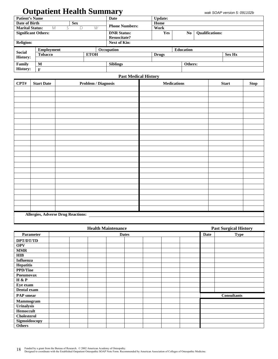# **Outpatient Health Summary**

| <b>Patient's Name</b>                                                                                                                  |                   |            |             | Date                  | <b>Update:</b> |                  |                        |               |  |  |  |  |
|----------------------------------------------------------------------------------------------------------------------------------------|-------------------|------------|-------------|-----------------------|----------------|------------------|------------------------|---------------|--|--|--|--|
|                                                                                                                                        |                   | <b>Sex</b> |             |                       | Home           |                  |                        |               |  |  |  |  |
|                                                                                                                                        | M                 | D          | W           | <b>Phone Numbers:</b> | Work           |                  |                        |               |  |  |  |  |
| <b>Religion:</b>                                                                                                                       |                   |            |             | <b>DNR Status:</b>    | Yes            | No.              | <b>Qualifications:</b> |               |  |  |  |  |
|                                                                                                                                        |                   |            |             | <b>Resuscitate?</b>   |                |                  |                        |               |  |  |  |  |
|                                                                                                                                        |                   |            |             | Next of Kin:          |                |                  |                        |               |  |  |  |  |
|                                                                                                                                        | <b>Employment</b> |            |             | Occupation            |                | <b>Education</b> |                        |               |  |  |  |  |
|                                                                                                                                        | Tobacco           |            | <b>ETOH</b> |                       | <b>Drugs</b>   |                  |                        | <b>Sex Hx</b> |  |  |  |  |
| Date of Birth<br><b>Marital Status:</b><br><b>Significant Others:</b><br><b>Social</b><br><b>History:</b><br>Family<br><b>History:</b> |                   |            |             |                       |                |                  |                        |               |  |  |  |  |
|                                                                                                                                        | M                 |            |             | <b>Siblings</b>       |                |                  | Others:                |               |  |  |  |  |
|                                                                                                                                        | F                 |            |             |                       |                |                  |                        |               |  |  |  |  |

#### **Past Medical History**

| CPT# | <b>Start Date</b> | <b>Problem / Diagnosis</b>                | <b>Medications</b> | <b>Start</b> | <b>Stop</b> |
|------|-------------------|-------------------------------------------|--------------------|--------------|-------------|
|      |                   |                                           |                    |              |             |
|      |                   |                                           |                    |              |             |
|      |                   |                                           |                    |              |             |
|      |                   |                                           |                    |              |             |
|      |                   |                                           |                    |              |             |
|      |                   |                                           |                    |              |             |
|      |                   |                                           |                    |              |             |
|      |                   |                                           |                    |              |             |
|      |                   |                                           |                    |              |             |
|      |                   |                                           |                    |              |             |
|      |                   |                                           |                    |              |             |
|      |                   |                                           |                    |              |             |
|      |                   |                                           |                    |              |             |
|      |                   |                                           |                    |              |             |
|      |                   |                                           |                    |              |             |
|      |                   |                                           |                    |              |             |
|      |                   |                                           |                    |              |             |
|      |                   |                                           |                    |              |             |
|      |                   |                                           |                    |              |             |
|      |                   |                                           |                    |              |             |
|      |                   |                                           |                    |              |             |
|      |                   |                                           |                    |              |             |
|      |                   |                                           |                    |              |             |
|      |                   | <b>Allergies, Adverse Drug Reactions:</b> |                    |              |             |

|                    | <b>Health Maintenance</b> | <b>Past Surgical History</b> |             |                    |  |  |  |  |
|--------------------|---------------------------|------------------------------|-------------|--------------------|--|--|--|--|
| Parameter          | <b>Dates</b>              |                              | <b>Date</b> | <b>Type</b>        |  |  |  |  |
| DPT/DT/TD          |                           |                              |             |                    |  |  |  |  |
| <b>OPV</b>         |                           |                              |             |                    |  |  |  |  |
| <b>MMR</b>         |                           |                              |             |                    |  |  |  |  |
| HIB                |                           |                              |             |                    |  |  |  |  |
| <b>Influenza</b>   |                           |                              |             |                    |  |  |  |  |
| <b>Hepatitis</b>   |                           |                              |             |                    |  |  |  |  |
| <b>PPD/Tine</b>    |                           |                              |             |                    |  |  |  |  |
| <b>Pneumovax</b>   |                           |                              |             |                    |  |  |  |  |
| H & P              |                           |                              |             |                    |  |  |  |  |
| Eye exam           |                           |                              |             |                    |  |  |  |  |
| Dental exam        |                           |                              |             |                    |  |  |  |  |
| <b>PAP</b> smear   |                           |                              |             | <b>Consultants</b> |  |  |  |  |
| Mammogram          |                           |                              |             |                    |  |  |  |  |
| Urinalysis         |                           |                              |             |                    |  |  |  |  |
| Hemoccult          |                           |                              |             |                    |  |  |  |  |
| <b>Cholesterol</b> |                           |                              |             |                    |  |  |  |  |
| Sigmoidoscopy      |                           |                              |             |                    |  |  |  |  |
| <b>Others</b>      |                           |                              |             |                    |  |  |  |  |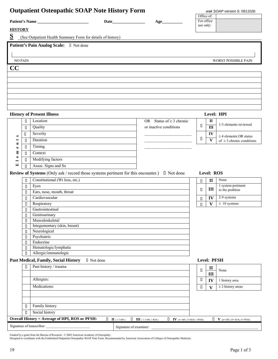|                |        | <b>Outpatient Osteopathic SOAP Note History Form</b>                                                                                                                                                                                                                                                                                                                                                                |                                                                                                     |                                        |                          | wak SOAP version 5: 091102b                                                   |
|----------------|--------|---------------------------------------------------------------------------------------------------------------------------------------------------------------------------------------------------------------------------------------------------------------------------------------------------------------------------------------------------------------------------------------------------------------------|-----------------------------------------------------------------------------------------------------|----------------------------------------|--------------------------|-------------------------------------------------------------------------------|
|                |        | Patient's Name                                                                                                                                                                                                                                                                                                                                                                                                      | Age                                                                                                 |                                        | Office of:<br>For office |                                                                               |
|                |        |                                                                                                                                                                                                                                                                                                                                                                                                                     |                                                                                                     | use only:                              |                          |                                                                               |
| <b>HISTORY</b> |        |                                                                                                                                                                                                                                                                                                                                                                                                                     |                                                                                                     |                                        |                          |                                                                               |
| S              |        | (See Outpatient Health Summary Form for details of history)                                                                                                                                                                                                                                                                                                                                                         |                                                                                                     |                                        |                          |                                                                               |
|                |        | Patient's Pain Analog Scale: I Not done                                                                                                                                                                                                                                                                                                                                                                             |                                                                                                     |                                        |                          |                                                                               |
|                |        |                                                                                                                                                                                                                                                                                                                                                                                                                     |                                                                                                     |                                        |                          |                                                                               |
|                |        |                                                                                                                                                                                                                                                                                                                                                                                                                     |                                                                                                     |                                        |                          |                                                                               |
| <b>NO PAIN</b> |        |                                                                                                                                                                                                                                                                                                                                                                                                                     |                                                                                                     |                                        |                          | WORST POSSIBLE PAIN                                                           |
| CC             |        |                                                                                                                                                                                                                                                                                                                                                                                                                     |                                                                                                     |                                        |                          |                                                                               |
|                |        |                                                                                                                                                                                                                                                                                                                                                                                                                     |                                                                                                     |                                        |                          |                                                                               |
|                |        |                                                                                                                                                                                                                                                                                                                                                                                                                     |                                                                                                     |                                        |                          |                                                                               |
|                |        |                                                                                                                                                                                                                                                                                                                                                                                                                     |                                                                                                     |                                        |                          |                                                                               |
|                |        |                                                                                                                                                                                                                                                                                                                                                                                                                     |                                                                                                     |                                        |                          |                                                                               |
|                |        |                                                                                                                                                                                                                                                                                                                                                                                                                     |                                                                                                     |                                        |                          |                                                                               |
|                |        |                                                                                                                                                                                                                                                                                                                                                                                                                     |                                                                                                     |                                        |                          |                                                                               |
|                |        | <b>History of Present Illness</b>                                                                                                                                                                                                                                                                                                                                                                                   |                                                                                                     |                                        |                          | Level: HPI                                                                    |
|                | $\Box$ | Location                                                                                                                                                                                                                                                                                                                                                                                                            | OR Status of $\geq$ 3 chronic                                                                       |                                        | $\mathbf{I}$             |                                                                               |
|                | О      | Quality                                                                                                                                                                                                                                                                                                                                                                                                             | or inactive conditions                                                                              | О                                      | $\overline{\mathbf{H}}$  | 1-3 elements reviewed                                                         |
|                | П      | Severity                                                                                                                                                                                                                                                                                                                                                                                                            |                                                                                                     |                                        | IV                       |                                                                               |
| s              | П      | Duration                                                                                                                                                                                                                                                                                                                                                                                                            |                                                                                                     | П                                      | $\mathbf{V}$             | $\geq$ 4 elements OR status<br>of $\geq$ 3 chronic conditions                 |
| E<br>$\bullet$ | П      | Timing                                                                                                                                                                                                                                                                                                                                                                                                              |                                                                                                     |                                        |                          |                                                                               |
| 둅              | П      | Context                                                                                                                                                                                                                                                                                                                                                                                                             |                                                                                                     |                                        |                          |                                                                               |
| $\bullet$      | П      | Modifying factors                                                                                                                                                                                                                                                                                                                                                                                                   |                                                                                                     |                                        |                          |                                                                               |
| -<br>国         | П      | Assoc. Signs and Sx                                                                                                                                                                                                                                                                                                                                                                                                 |                                                                                                     |                                        |                          |                                                                               |
|                |        | <b>Review of Systems</b> (Only ask / record those systems pertinent for this encounter.) $\Box$ Not done                                                                                                                                                                                                                                                                                                            |                                                                                                     |                                        | Level: ROS               |                                                                               |
|                |        | Constitutional (Wt loss, etc.)                                                                                                                                                                                                                                                                                                                                                                                      |                                                                                                     |                                        |                          | None                                                                          |
|                | П      | Eyes                                                                                                                                                                                                                                                                                                                                                                                                                |                                                                                                     | $\Box$                                 | $\mathbf{I}$             | 1 system pertinent                                                            |
|                | П<br>П | Ears, nose, mouth, throat                                                                                                                                                                                                                                                                                                                                                                                           |                                                                                                     | $\Box$                                 | III                      | to the problem                                                                |
|                | $\Box$ | Cardiovascular                                                                                                                                                                                                                                                                                                                                                                                                      |                                                                                                     | $\Box$                                 | IV                       | 2-9 systems                                                                   |
|                | П      | Respiratory                                                                                                                                                                                                                                                                                                                                                                                                         |                                                                                                     | $\begin{array}{c} \square \end{array}$ | V                        | $\geq 10$ systems                                                             |
|                | $\Box$ | Gastrointestinal                                                                                                                                                                                                                                                                                                                                                                                                    |                                                                                                     |                                        |                          |                                                                               |
|                | $\Box$ | Genitourinary                                                                                                                                                                                                                                                                                                                                                                                                       |                                                                                                     |                                        |                          |                                                                               |
|                | П      | Musculoskeletal                                                                                                                                                                                                                                                                                                                                                                                                     |                                                                                                     |                                        |                          |                                                                               |
|                | О      | Integumentary (skin, breast)                                                                                                                                                                                                                                                                                                                                                                                        |                                                                                                     |                                        |                          |                                                                               |
|                | П      | Neurological                                                                                                                                                                                                                                                                                                                                                                                                        |                                                                                                     |                                        |                          |                                                                               |
|                | П      | Psychiatric<br>Endocrine                                                                                                                                                                                                                                                                                                                                                                                            |                                                                                                     |                                        |                          |                                                                               |
|                | П<br>П | Hematologic/lymphatic                                                                                                                                                                                                                                                                                                                                                                                               |                                                                                                     |                                        |                          |                                                                               |
|                | $\Box$ | Allergic/immunologic                                                                                                                                                                                                                                                                                                                                                                                                |                                                                                                     |                                        |                          |                                                                               |
|                |        | Past Medical, Family, Social History<br>□ Not done                                                                                                                                                                                                                                                                                                                                                                  |                                                                                                     |                                        | Level: PFSH              |                                                                               |
|                | Π      | Past history / trauma                                                                                                                                                                                                                                                                                                                                                                                               |                                                                                                     |                                        |                          |                                                                               |
|                |        |                                                                                                                                                                                                                                                                                                                                                                                                                     |                                                                                                     | П                                      | $\mathbf{I}$<br>III      | None                                                                          |
|                |        | Allergies:                                                                                                                                                                                                                                                                                                                                                                                                          |                                                                                                     | $\Box$                                 | IV                       | 1 history area                                                                |
|                |        | Medications:                                                                                                                                                                                                                                                                                                                                                                                                        |                                                                                                     |                                        |                          | $\geq$ 2 history areas                                                        |
|                |        |                                                                                                                                                                                                                                                                                                                                                                                                                     |                                                                                                     | $\begin{array}{c} \square \end{array}$ | $\overline{\mathbf{V}}$  |                                                                               |
|                |        |                                                                                                                                                                                                                                                                                                                                                                                                                     |                                                                                                     |                                        |                          |                                                                               |
|                |        |                                                                                                                                                                                                                                                                                                                                                                                                                     |                                                                                                     |                                        |                          |                                                                               |
|                | П      | Family history                                                                                                                                                                                                                                                                                                                                                                                                      |                                                                                                     |                                        |                          |                                                                               |
|                | П      | Social history                                                                                                                                                                                                                                                                                                                                                                                                      |                                                                                                     |                                        |                          |                                                                               |
|                |        | <b>Overall History = Average of HPI, ROS or PFSH:</b><br>$\begin{array}{ c } \hline \rule{0.2cm}{.0cm} \rule{0.2cm}{.0cm} \hline \rule{0.2cm}{.0cm} \rule{0.2cm}{.0cm} \end{array} \quad \  \  \coprod \begin{array}{ll} \rule{0.2cm}{.0cm} \rule{0.2cm}{.0cm} \rule{0.2cm}{.0cm} \rule{0.2cm}{.0cm} \rule{0.2cm}{.0cm} \rule{0.2cm}{.0cm} \end{array} \quad \  \  \  \, \blacksquare$<br>Signature of transcriber: | $\Box$ III (1-3 HPI, 1 ROS)<br>$\Box$ <b>IV</b> (4+ HPI, 2-9 ROS, 1 PFSH)<br>Signature of examiner: |                                        |                          | $\begin{array}{ll}\n\Box & \mathbf{V} & (4+HPI, 10+ROS, 2+PFSH)\n\end{array}$ |

Funded by a grant from the Bureau of Research. © 2002 American Academy of Osteopathy.<br>Designed to coordinate with the Established Outpatient Osteopathic SOAP Note Form. Recommended by American Association of Colleges of Os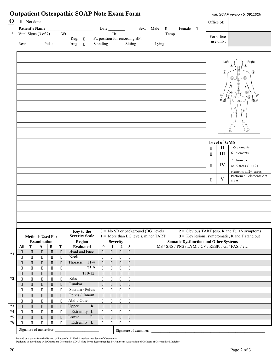| □ Not done<br>Office of:<br>* Vital Signs (3 of 7) Wt. $\frac{\overline{R}}{\text{Reg.} \quad \Box}$ Pt. position for recording BP:<br>For office<br>use only:<br>Resp. $\Box$ Pulse $\Box$ Irreg. $\Box$<br>Standing Sitting Lying<br>Right<br>Left<br>⋒<br>⋒<br><b>Level of GMS</b><br>1-5 elements<br>$\mathbf{I}$<br>$\begin{array}{c} \square \end{array}$<br>$6+$ elements<br>III<br>$\Box$<br>2+ from each<br>IV<br>П.<br>or 6 areas OR $12+$<br>elements in 2+ areas<br>Perform all elements $\geq 9$<br>$\bf{V}$<br>П.<br>areas<br>$0 = No SD$ or background (BG) levels<br>$2 =$ Obvious TART (esp. R and T), $\pm$ /- symptoms<br>Key to the<br><b>Severity Scale</b><br>$1 =$ More than BG levels, minor TART<br>$3$ = Key lesions, symptomatic, R and T stand out<br><b>Methods Used For</b><br><b>Somatic Dysfunction and Other Systems</b><br><b>Region</b><br><b>Examination</b><br><b>Severity</b><br>MS / SNS / PNS / LYM. / CV / RESP. / GI / FAS. / etc.<br>$\overline{\mathbf{0}}$<br>$\overline{\mathbf{3}}$<br>T<br>$\mathbf T$<br>$\boldsymbol{2}$<br>$\mathbf{A}$<br>$\bf R$<br><b>Evaluated</b><br>All<br>1<br>Head and Face<br>$\hfill \square$<br>$\hfill \square$<br>$\Box$<br>$\Box$<br>$\Box$<br>$\hfill \Box$<br>$\hfill\Box$<br>$\Box$<br>$\Box$<br>Neck<br>$\Box$<br>$\Box$<br>$\Box$<br>П<br>$\hfill \square$<br>$\Box$<br>$\Box$<br>П<br>О<br>Thoracic T1-4<br>$\Box$<br>$\Box$<br>$\hfill \Box$<br>$\Box$<br>$\hfill \square$<br>$\hfill \Box$<br>$\Box$<br>П<br>$\Box$<br>$T5-9$<br>$\Box$<br>$\Box$<br>$\Box$<br>$\Box$<br>$\Box$<br>$\hfill \square$<br>$\Box$<br>П<br>П<br>$T10-12$<br>$\hfill \square$<br>$\hfill \square$<br>$\hfill \Box$<br>$\hfill \square$<br>$\hfill \square$<br>$\hfill \square$<br>$\hfill \Box$<br>$\Box$<br>$\Box$<br>Ribs<br>$\Box$<br>$\Box$<br>$\hfill \square$<br>$\Box$<br>П<br>$\Box$<br>$\Box$<br>$\Box$<br>П<br>$\hfill \square$<br>Lumbar<br>$\hfill \square$<br>$\hfill \square$<br>$\hfill \square$<br>$\hfill \Box$<br>$\Box$<br>$\hfill \square$<br>$\Box$<br>$\Box$<br>Sacrum / Pelvis<br>$\Box$<br>$\Box$<br>$\Box$<br>П<br>$\Box$<br>$\Box$<br>П<br>$\Box$<br>О<br>Pelvis / Innom.<br>$\Box$<br>$\Box$<br>$\Box$<br>$\Box$<br>$\Box$<br>$\Box$<br>$\Box$<br>$\Box$<br>П<br>Abd ./ Other<br>П<br>$\Box$<br>$\Box$<br>$\Box$<br>$\Box$<br>$\Box$<br>О<br>$\Box$<br>П<br>${\bf R}$<br>Upper<br>$\hfill \Box$<br>$\Box$<br>$\Box$<br>$\Box$<br>$\Box$<br>$\Box$<br>$\Box$<br>$\Box$<br>$\Box$<br>Extremity L<br>$\Box$<br>П<br>П<br>$\Box$<br>$\Box$<br>$\Box$<br>О<br>$\Box$<br>$\Box$<br>Lower<br>$\mathbb{R}$<br>$\hfill \Box$<br>$\Box$<br>$\Box$<br>$\Box$<br>$\Box$<br>$\Box$<br>$\Box$<br>$\Box$<br>$\Box$<br>Extremity L<br>$\Box$<br>П<br>$\hfill \square$<br>$\Box$<br>П<br>П<br>П<br>О<br>О<br>Signature of transcriber: |  |  | <b>Outpatient Osteopathic SOAP Note Exam Form</b> |  |  |  |  |  |  | wak SOAP version 5: 091102b |
|---------------------------------------------------------------------------------------------------------------------------------------------------------------------------------------------------------------------------------------------------------------------------------------------------------------------------------------------------------------------------------------------------------------------------------------------------------------------------------------------------------------------------------------------------------------------------------------------------------------------------------------------------------------------------------------------------------------------------------------------------------------------------------------------------------------------------------------------------------------------------------------------------------------------------------------------------------------------------------------------------------------------------------------------------------------------------------------------------------------------------------------------------------------------------------------------------------------------------------------------------------------------------------------------------------------------------------------------------------------------------------------------------------------------------------------------------------------------------------------------------------------------------------------------------------------------------------------------------------------------------------------------------------------------------------------------------------------------------------------------------------------------------------------------------------------------------------------------------------------------------------------------------------------------------------------------------------------------------------------------------------------------------------------------------------------------------------------------------------------------------------------------------------------------------------------------------------------------------------------------------------------------------------------------------------------------------------------------------------------------------------------------------------------------------------------------------------------------------------------------------------------------------------------------------------------------------------------------------------------------------------------------------------------------------------------------------------------------------------------------------------------------------------------------------------------------|--|--|---------------------------------------------------|--|--|--|--|--|--|-----------------------------|
|                                                                                                                                                                                                                                                                                                                                                                                                                                                                                                                                                                                                                                                                                                                                                                                                                                                                                                                                                                                                                                                                                                                                                                                                                                                                                                                                                                                                                                                                                                                                                                                                                                                                                                                                                                                                                                                                                                                                                                                                                                                                                                                                                                                                                                                                                                                                                                                                                                                                                                                                                                                                                                                                                                                                                                                                                     |  |  |                                                   |  |  |  |  |  |  |                             |
|                                                                                                                                                                                                                                                                                                                                                                                                                                                                                                                                                                                                                                                                                                                                                                                                                                                                                                                                                                                                                                                                                                                                                                                                                                                                                                                                                                                                                                                                                                                                                                                                                                                                                                                                                                                                                                                                                                                                                                                                                                                                                                                                                                                                                                                                                                                                                                                                                                                                                                                                                                                                                                                                                                                                                                                                                     |  |  |                                                   |  |  |  |  |  |  |                             |
|                                                                                                                                                                                                                                                                                                                                                                                                                                                                                                                                                                                                                                                                                                                                                                                                                                                                                                                                                                                                                                                                                                                                                                                                                                                                                                                                                                                                                                                                                                                                                                                                                                                                                                                                                                                                                                                                                                                                                                                                                                                                                                                                                                                                                                                                                                                                                                                                                                                                                                                                                                                                                                                                                                                                                                                                                     |  |  |                                                   |  |  |  |  |  |  |                             |
|                                                                                                                                                                                                                                                                                                                                                                                                                                                                                                                                                                                                                                                                                                                                                                                                                                                                                                                                                                                                                                                                                                                                                                                                                                                                                                                                                                                                                                                                                                                                                                                                                                                                                                                                                                                                                                                                                                                                                                                                                                                                                                                                                                                                                                                                                                                                                                                                                                                                                                                                                                                                                                                                                                                                                                                                                     |  |  |                                                   |  |  |  |  |  |  |                             |
|                                                                                                                                                                                                                                                                                                                                                                                                                                                                                                                                                                                                                                                                                                                                                                                                                                                                                                                                                                                                                                                                                                                                                                                                                                                                                                                                                                                                                                                                                                                                                                                                                                                                                                                                                                                                                                                                                                                                                                                                                                                                                                                                                                                                                                                                                                                                                                                                                                                                                                                                                                                                                                                                                                                                                                                                                     |  |  |                                                   |  |  |  |  |  |  |                             |
|                                                                                                                                                                                                                                                                                                                                                                                                                                                                                                                                                                                                                                                                                                                                                                                                                                                                                                                                                                                                                                                                                                                                                                                                                                                                                                                                                                                                                                                                                                                                                                                                                                                                                                                                                                                                                                                                                                                                                                                                                                                                                                                                                                                                                                                                                                                                                                                                                                                                                                                                                                                                                                                                                                                                                                                                                     |  |  |                                                   |  |  |  |  |  |  |                             |
|                                                                                                                                                                                                                                                                                                                                                                                                                                                                                                                                                                                                                                                                                                                                                                                                                                                                                                                                                                                                                                                                                                                                                                                                                                                                                                                                                                                                                                                                                                                                                                                                                                                                                                                                                                                                                                                                                                                                                                                                                                                                                                                                                                                                                                                                                                                                                                                                                                                                                                                                                                                                                                                                                                                                                                                                                     |  |  |                                                   |  |  |  |  |  |  |                             |
|                                                                                                                                                                                                                                                                                                                                                                                                                                                                                                                                                                                                                                                                                                                                                                                                                                                                                                                                                                                                                                                                                                                                                                                                                                                                                                                                                                                                                                                                                                                                                                                                                                                                                                                                                                                                                                                                                                                                                                                                                                                                                                                                                                                                                                                                                                                                                                                                                                                                                                                                                                                                                                                                                                                                                                                                                     |  |  |                                                   |  |  |  |  |  |  |                             |
|                                                                                                                                                                                                                                                                                                                                                                                                                                                                                                                                                                                                                                                                                                                                                                                                                                                                                                                                                                                                                                                                                                                                                                                                                                                                                                                                                                                                                                                                                                                                                                                                                                                                                                                                                                                                                                                                                                                                                                                                                                                                                                                                                                                                                                                                                                                                                                                                                                                                                                                                                                                                                                                                                                                                                                                                                     |  |  |                                                   |  |  |  |  |  |  |                             |
|                                                                                                                                                                                                                                                                                                                                                                                                                                                                                                                                                                                                                                                                                                                                                                                                                                                                                                                                                                                                                                                                                                                                                                                                                                                                                                                                                                                                                                                                                                                                                                                                                                                                                                                                                                                                                                                                                                                                                                                                                                                                                                                                                                                                                                                                                                                                                                                                                                                                                                                                                                                                                                                                                                                                                                                                                     |  |  |                                                   |  |  |  |  |  |  |                             |
|                                                                                                                                                                                                                                                                                                                                                                                                                                                                                                                                                                                                                                                                                                                                                                                                                                                                                                                                                                                                                                                                                                                                                                                                                                                                                                                                                                                                                                                                                                                                                                                                                                                                                                                                                                                                                                                                                                                                                                                                                                                                                                                                                                                                                                                                                                                                                                                                                                                                                                                                                                                                                                                                                                                                                                                                                     |  |  |                                                   |  |  |  |  |  |  |                             |
|                                                                                                                                                                                                                                                                                                                                                                                                                                                                                                                                                                                                                                                                                                                                                                                                                                                                                                                                                                                                                                                                                                                                                                                                                                                                                                                                                                                                                                                                                                                                                                                                                                                                                                                                                                                                                                                                                                                                                                                                                                                                                                                                                                                                                                                                                                                                                                                                                                                                                                                                                                                                                                                                                                                                                                                                                     |  |  |                                                   |  |  |  |  |  |  |                             |
|                                                                                                                                                                                                                                                                                                                                                                                                                                                                                                                                                                                                                                                                                                                                                                                                                                                                                                                                                                                                                                                                                                                                                                                                                                                                                                                                                                                                                                                                                                                                                                                                                                                                                                                                                                                                                                                                                                                                                                                                                                                                                                                                                                                                                                                                                                                                                                                                                                                                                                                                                                                                                                                                                                                                                                                                                     |  |  |                                                   |  |  |  |  |  |  |                             |
|                                                                                                                                                                                                                                                                                                                                                                                                                                                                                                                                                                                                                                                                                                                                                                                                                                                                                                                                                                                                                                                                                                                                                                                                                                                                                                                                                                                                                                                                                                                                                                                                                                                                                                                                                                                                                                                                                                                                                                                                                                                                                                                                                                                                                                                                                                                                                                                                                                                                                                                                                                                                                                                                                                                                                                                                                     |  |  |                                                   |  |  |  |  |  |  |                             |
|                                                                                                                                                                                                                                                                                                                                                                                                                                                                                                                                                                                                                                                                                                                                                                                                                                                                                                                                                                                                                                                                                                                                                                                                                                                                                                                                                                                                                                                                                                                                                                                                                                                                                                                                                                                                                                                                                                                                                                                                                                                                                                                                                                                                                                                                                                                                                                                                                                                                                                                                                                                                                                                                                                                                                                                                                     |  |  |                                                   |  |  |  |  |  |  |                             |
|                                                                                                                                                                                                                                                                                                                                                                                                                                                                                                                                                                                                                                                                                                                                                                                                                                                                                                                                                                                                                                                                                                                                                                                                                                                                                                                                                                                                                                                                                                                                                                                                                                                                                                                                                                                                                                                                                                                                                                                                                                                                                                                                                                                                                                                                                                                                                                                                                                                                                                                                                                                                                                                                                                                                                                                                                     |  |  |                                                   |  |  |  |  |  |  |                             |
|                                                                                                                                                                                                                                                                                                                                                                                                                                                                                                                                                                                                                                                                                                                                                                                                                                                                                                                                                                                                                                                                                                                                                                                                                                                                                                                                                                                                                                                                                                                                                                                                                                                                                                                                                                                                                                                                                                                                                                                                                                                                                                                                                                                                                                                                                                                                                                                                                                                                                                                                                                                                                                                                                                                                                                                                                     |  |  |                                                   |  |  |  |  |  |  |                             |
|                                                                                                                                                                                                                                                                                                                                                                                                                                                                                                                                                                                                                                                                                                                                                                                                                                                                                                                                                                                                                                                                                                                                                                                                                                                                                                                                                                                                                                                                                                                                                                                                                                                                                                                                                                                                                                                                                                                                                                                                                                                                                                                                                                                                                                                                                                                                                                                                                                                                                                                                                                                                                                                                                                                                                                                                                     |  |  |                                                   |  |  |  |  |  |  |                             |
|                                                                                                                                                                                                                                                                                                                                                                                                                                                                                                                                                                                                                                                                                                                                                                                                                                                                                                                                                                                                                                                                                                                                                                                                                                                                                                                                                                                                                                                                                                                                                                                                                                                                                                                                                                                                                                                                                                                                                                                                                                                                                                                                                                                                                                                                                                                                                                                                                                                                                                                                                                                                                                                                                                                                                                                                                     |  |  |                                                   |  |  |  |  |  |  |                             |
|                                                                                                                                                                                                                                                                                                                                                                                                                                                                                                                                                                                                                                                                                                                                                                                                                                                                                                                                                                                                                                                                                                                                                                                                                                                                                                                                                                                                                                                                                                                                                                                                                                                                                                                                                                                                                                                                                                                                                                                                                                                                                                                                                                                                                                                                                                                                                                                                                                                                                                                                                                                                                                                                                                                                                                                                                     |  |  |                                                   |  |  |  |  |  |  |                             |
|                                                                                                                                                                                                                                                                                                                                                                                                                                                                                                                                                                                                                                                                                                                                                                                                                                                                                                                                                                                                                                                                                                                                                                                                                                                                                                                                                                                                                                                                                                                                                                                                                                                                                                                                                                                                                                                                                                                                                                                                                                                                                                                                                                                                                                                                                                                                                                                                                                                                                                                                                                                                                                                                                                                                                                                                                     |  |  |                                                   |  |  |  |  |  |  |                             |
|                                                                                                                                                                                                                                                                                                                                                                                                                                                                                                                                                                                                                                                                                                                                                                                                                                                                                                                                                                                                                                                                                                                                                                                                                                                                                                                                                                                                                                                                                                                                                                                                                                                                                                                                                                                                                                                                                                                                                                                                                                                                                                                                                                                                                                                                                                                                                                                                                                                                                                                                                                                                                                                                                                                                                                                                                     |  |  |                                                   |  |  |  |  |  |  |                             |
|                                                                                                                                                                                                                                                                                                                                                                                                                                                                                                                                                                                                                                                                                                                                                                                                                                                                                                                                                                                                                                                                                                                                                                                                                                                                                                                                                                                                                                                                                                                                                                                                                                                                                                                                                                                                                                                                                                                                                                                                                                                                                                                                                                                                                                                                                                                                                                                                                                                                                                                                                                                                                                                                                                                                                                                                                     |  |  |                                                   |  |  |  |  |  |  |                             |
|                                                                                                                                                                                                                                                                                                                                                                                                                                                                                                                                                                                                                                                                                                                                                                                                                                                                                                                                                                                                                                                                                                                                                                                                                                                                                                                                                                                                                                                                                                                                                                                                                                                                                                                                                                                                                                                                                                                                                                                                                                                                                                                                                                                                                                                                                                                                                                                                                                                                                                                                                                                                                                                                                                                                                                                                                     |  |  |                                                   |  |  |  |  |  |  |                             |
|                                                                                                                                                                                                                                                                                                                                                                                                                                                                                                                                                                                                                                                                                                                                                                                                                                                                                                                                                                                                                                                                                                                                                                                                                                                                                                                                                                                                                                                                                                                                                                                                                                                                                                                                                                                                                                                                                                                                                                                                                                                                                                                                                                                                                                                                                                                                                                                                                                                                                                                                                                                                                                                                                                                                                                                                                     |  |  |                                                   |  |  |  |  |  |  |                             |
|                                                                                                                                                                                                                                                                                                                                                                                                                                                                                                                                                                                                                                                                                                                                                                                                                                                                                                                                                                                                                                                                                                                                                                                                                                                                                                                                                                                                                                                                                                                                                                                                                                                                                                                                                                                                                                                                                                                                                                                                                                                                                                                                                                                                                                                                                                                                                                                                                                                                                                                                                                                                                                                                                                                                                                                                                     |  |  |                                                   |  |  |  |  |  |  |                             |
|                                                                                                                                                                                                                                                                                                                                                                                                                                                                                                                                                                                                                                                                                                                                                                                                                                                                                                                                                                                                                                                                                                                                                                                                                                                                                                                                                                                                                                                                                                                                                                                                                                                                                                                                                                                                                                                                                                                                                                                                                                                                                                                                                                                                                                                                                                                                                                                                                                                                                                                                                                                                                                                                                                                                                                                                                     |  |  |                                                   |  |  |  |  |  |  |                             |
|                                                                                                                                                                                                                                                                                                                                                                                                                                                                                                                                                                                                                                                                                                                                                                                                                                                                                                                                                                                                                                                                                                                                                                                                                                                                                                                                                                                                                                                                                                                                                                                                                                                                                                                                                                                                                                                                                                                                                                                                                                                                                                                                                                                                                                                                                                                                                                                                                                                                                                                                                                                                                                                                                                                                                                                                                     |  |  |                                                   |  |  |  |  |  |  |                             |
|                                                                                                                                                                                                                                                                                                                                                                                                                                                                                                                                                                                                                                                                                                                                                                                                                                                                                                                                                                                                                                                                                                                                                                                                                                                                                                                                                                                                                                                                                                                                                                                                                                                                                                                                                                                                                                                                                                                                                                                                                                                                                                                                                                                                                                                                                                                                                                                                                                                                                                                                                                                                                                                                                                                                                                                                                     |  |  |                                                   |  |  |  |  |  |  |                             |
|                                                                                                                                                                                                                                                                                                                                                                                                                                                                                                                                                                                                                                                                                                                                                                                                                                                                                                                                                                                                                                                                                                                                                                                                                                                                                                                                                                                                                                                                                                                                                                                                                                                                                                                                                                                                                                                                                                                                                                                                                                                                                                                                                                                                                                                                                                                                                                                                                                                                                                                                                                                                                                                                                                                                                                                                                     |  |  |                                                   |  |  |  |  |  |  |                             |
|                                                                                                                                                                                                                                                                                                                                                                                                                                                                                                                                                                                                                                                                                                                                                                                                                                                                                                                                                                                                                                                                                                                                                                                                                                                                                                                                                                                                                                                                                                                                                                                                                                                                                                                                                                                                                                                                                                                                                                                                                                                                                                                                                                                                                                                                                                                                                                                                                                                                                                                                                                                                                                                                                                                                                                                                                     |  |  |                                                   |  |  |  |  |  |  |                             |
|                                                                                                                                                                                                                                                                                                                                                                                                                                                                                                                                                                                                                                                                                                                                                                                                                                                                                                                                                                                                                                                                                                                                                                                                                                                                                                                                                                                                                                                                                                                                                                                                                                                                                                                                                                                                                                                                                                                                                                                                                                                                                                                                                                                                                                                                                                                                                                                                                                                                                                                                                                                                                                                                                                                                                                                                                     |  |  |                                                   |  |  |  |  |  |  |                             |
|                                                                                                                                                                                                                                                                                                                                                                                                                                                                                                                                                                                                                                                                                                                                                                                                                                                                                                                                                                                                                                                                                                                                                                                                                                                                                                                                                                                                                                                                                                                                                                                                                                                                                                                                                                                                                                                                                                                                                                                                                                                                                                                                                                                                                                                                                                                                                                                                                                                                                                                                                                                                                                                                                                                                                                                                                     |  |  |                                                   |  |  |  |  |  |  |                             |
| Signature of examiner:                                                                                                                                                                                                                                                                                                                                                                                                                                                                                                                                                                                                                                                                                                                                                                                                                                                                                                                                                                                                                                                                                                                                                                                                                                                                                                                                                                                                                                                                                                                                                                                                                                                                                                                                                                                                                                                                                                                                                                                                                                                                                                                                                                                                                                                                                                                                                                                                                                                                                                                                                                                                                                                                                                                                                                                              |  |  |                                                   |  |  |  |  |  |  |                             |

Funded by a grant from the Bureau of Research. © 2002 American Academy of Osteopathy.<br>Designed to coordinate with Outpatient Osteopathic SOAP Note Form. Recommended by American Association of Colleges of Osteopathic Medici